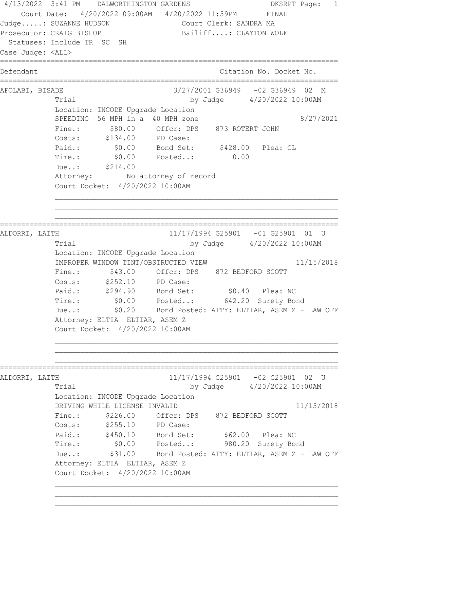4/13/2022 3:41 PM DALWORTHINGTON GARDENS DKSRPT Page: 1 Court Date: 4/20/2022 09:00AM 4/20/2022 11:59PM FINAL Judge.....: SUZANNE HUDSON Court Clerk: SANDRA MA Prosecutor: CRAIG BISHOP Bailiff....: CLAYTON WOLF Statuses: Include TR SC SH Case Judge: <ALL> ================================================================================ Defendant **Contract Contract Contract Citation No.** Docket No. ================================================================================ AFOLABI, BISADE 3/27/2001 G36949 -02 G36949 02 M Trial by Judge 4/20/2022 10:00AM Location: INCODE Upgrade Location SPEEDING 56 MPH in a 40 MPH zone  $8/27/2021$  Fine.: \$80.00 Offcr: DPS 873 ROTERT JOHN Costs: \$134.00 PD Case: Paid.: \$0.00 Bond Set: \$428.00 Plea: GL Time.:  $$0.00$  Posted..: 0.00 Due..: \$214.00 Attorney: No attorney of record Court Docket: 4/20/2022 10:00AM ================================================================================ ALDORRI, LAITH 11/17/1994 G25901 -01 G25901 01 U Trial by Judge 4/20/2022 10:00AM Location: INCODE Upgrade Location IMPROPER WINDOW TINT/OBSTRUCTED VIEW 11/15/2018 Fine.:  $$43.00$  Offcr: DPS 872 BEDFORD SCOTT Costs: \$252.10 PD Case: Paid.: \$294.90 Bond Set: \$0.40 Plea: NC Time.: \$0.00 Posted..: 642.20 Surety Bond Due..: \$0.20 Bond Posted: ATTY: ELTIAR, ASEM Z - LAW OFF Attorney: ELTIA ELTIAR, ASEM Z Court Docket: 4/20/2022 10:00AM ================================================================================ ALDORRI, LAITH 11/17/1994 G25901 -02 G25901 02 U Trial by Judge  $4/20/2022$  10:00AM Location: INCODE Upgrade Location DRIVING WHILE LICENSE INVALID 11/15/2018 Fine.: \$226.00 Offcr: DPS 872 BEDFORD SCOTT Costs: \$255.10 PD Case: Paid.: \$450.10 Bond Set: \$62.00 Plea: NC Time.: \$0.00 Posted..: 980.20 Surety Bond Due..: \$31.00 Bond Posted: ATTY: ELTIAR, ASEM Z - LAW OFF Attorney: ELTIA ELTIAR, ASEM Z Court Docket: 4/20/2022 10:00AM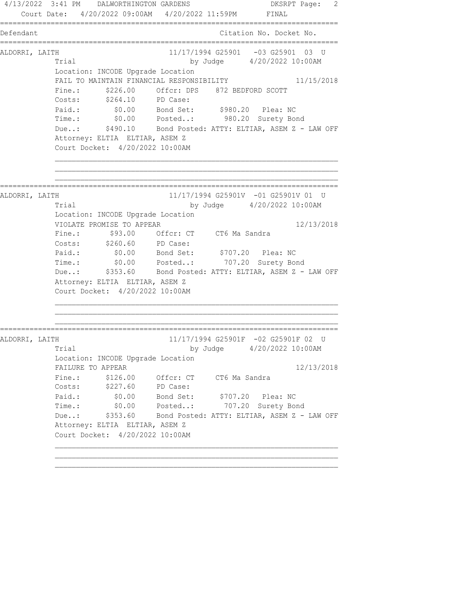4/13/2022 3:41 PM DALWORTHINGTON GARDENS DESRPT Page: 2 Court Date: 4/20/2022 09:00AM 4/20/2022 11:59PM FINAL ================================================================================ Defendant Citation No. Docket No. ================================================================================ ALDORRI, LAITH 11/17/1994 G25901 -03 G25901 03 U Trial by Judge 4/20/2022 10:00AM Location: INCODE Upgrade Location FAIL TO MAINTAIN FINANCIAL RESPONSIBILITY 11/15/2018 Fine.: \$226.00 Offcr: DPS 872 BEDFORD SCOTT Costs: \$264.10 PD Case: Paid.: \$0.00 Bond Set: \$980.20 Plea: NC Time.: \$0.00 Posted..: 980.20 Surety Bond Due..: \$490.10 Bond Posted: ATTY: ELTIAR, ASEM Z - LAW OFF Attorney: ELTIA ELTIAR, ASEM Z Court Docket: 4/20/2022 10:00AM ================================================================================ ALDORRI, LAITH 11/17/1994 G25901V -01 G25901V 01 U Trial by Judge 4/20/2022 10:00AM Location: INCODE Upgrade Location VIOLATE PROMISE TO APPEAR 12/13/2018 Fine.: \$93.00 Offcr: CT CT6 Ma Sandra Costs: \$260.60 PD Case: Paid.: \$0.00 Bond Set: \$707.20 Plea: NC Time.: \$0.00 Posted..: 707.20 Surety Bond Due..: \$353.60 Bond Posted: ATTY: ELTIAR, ASEM Z - LAW OFF Attorney: ELTIA ELTIAR, ASEM Z Court Docket: 4/20/2022 10:00AM ================================================================================ ALDORRI, LAITH 11/17/1994 G25901F -02 G25901F 02 U Trial by Judge  $4/20/2022$  10:00AM Location: INCODE Upgrade Location FAILURE TO APPEAR 12/13/2018 Fine.: \$126.00 Offcr: CT CT6 Ma Sandra Costs: \$227.60 PD Case: Paid.: \$0.00 Bond Set: \$707.20 Plea: NC Time.: \$0.00 Posted..: 707.20 Surety Bond Due..: \$353.60 Bond Posted: ATTY: ELTIAR, ASEM Z - LAW OFF Attorney: ELTIA ELTIAR, ASEM Z Court Docket: 4/20/2022 10:00AM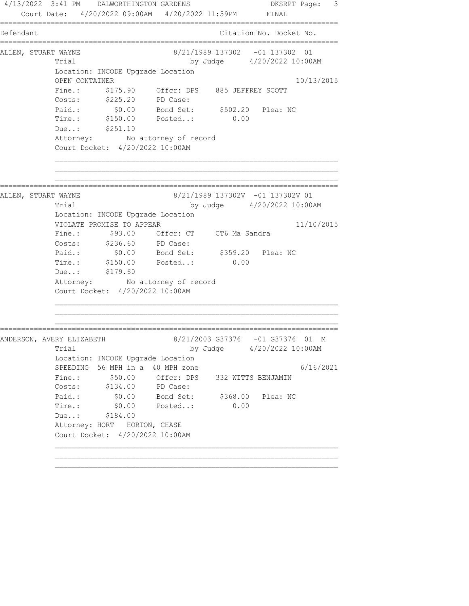4/13/2022 3:41 PM DALWORTHINGTON GARDENS DKSRPT Page: 3 Court Date: 4/20/2022 09:00AM 4/20/2022 11:59PM FINAL ================================================================================ Defendant Citation No. Docket No. ================================================================================ ALLEN, STUART WAYNE <br>8/21/1989 137302 -01 137302 01 Trial by Judge 4/20/2022 10:00AM Location: INCODE Upgrade Location OPEN CONTAINER 10/13/2015 Fine.: \$175.90 Offcr: DPS 885 JEFFREY SCOTT Costs: \$225.20 PD Case: Paid.: \$0.00 Bond Set: \$502.20 Plea: NC Time.: \$150.00 Posted..: 0.00 Due..: \$251.10 Attorney: No attorney of record Court Docket: 4/20/2022 10:00AM ================================================================================ ALLEN, STUART WAYNE 8/21/1989 137302V -01 137302V 01 Trial by Judge 4/20/2022 10:00AM Location: INCODE Upgrade Location VIOLATE PROMISE TO APPEAR 11/10/2015 Fine.: \$93.00 Offcr: CT CT6 Ma Sandra Costs: \$236.60 PD Case: Paid.: \$0.00 Bond Set: \$359.20 Plea: NC Paid.:  $\frac{$1,00}{$1,00}$  Bond Set:  $\frac{$3,59,20}{$1,00}$ <br>Time.:  $\frac{$1,000}{$1,00}$  Posted..: 0.00 Due..: \$179.60 Attorney: No attorney of record Court Docket: 4/20/2022 10:00AM ================================================================================ ANDERSON, AVERY ELIZABETH 8/21/2003 G37376 -01 G37376 01 M Trial by Judge 4/20/2022 10:00AM Location: INCODE Upgrade Location SPEEDING 56 MPH in a 40 MPH zone  $6/16/2021$ Fine.:  $$50.00$  Offcr: DPS 332 WITTS BENJAMIN Costs: \$134.00 PD Case: Paid.: \$0.00 Bond Set: \$368.00 Plea: NC Time.: \$0.00 Posted..: 0.00 Due..: \$184.00 Attorney: HORT HORTON, CHASE Court Docket: 4/20/2022 10:00AM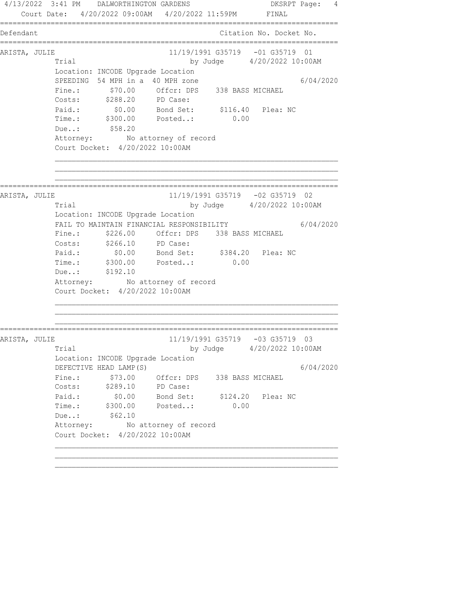4/13/2022 3:41 PM DALWORTHINGTON GARDENS DKSRPT Page: 4 Court Date: 4/20/2022 09:00AM 4/20/2022 11:59PM FINAL ================================================================================ Defendant Citation No. Docket No. ================================================================================ ARISTA, JULIE 11/19/1991 G35719 -01 G35719 01 Trial by Judge  $4/20/2022$  10:00AM Location: INCODE Upgrade Location SPEEDING 54 MPH in a 40 MPH zone 6/04/2020 Fine.: \$70.00 Offcr: DPS 338 BASS MICHAEL Costs: \$288.20 PD Case: Paid.: \$0.00 Bond Set: \$116.40 Plea: NC Time.: \$300.00 Posted..: 0.00 Due..: \$58.20 Attorney: No attorney of record Court Docket: 4/20/2022 10:00AM ================================================================================ ARISTA, JULIE 11/19/1991 G35719 -02 G35719 02 Trial by Judge 4/20/2022 10:00AM Location: INCODE Upgrade Location FAIL TO MAINTAIN FINANCIAL RESPONSIBILITY 6/04/2020 Fine.: \$226.00 Offcr: DPS 338 BASS MICHAEL Costs: \$266.10 PD Case: Paid.: \$0.00 Bond Set: \$384.20 Plea: NC Time.: \$300.00 Posted..: 0.00 Due..: \$192.10 Attorney: No attorney of record Court Docket: 4/20/2022 10:00AM ================================================================================ ARISTA, JULIE 11/19/1991 G35719 -03 G35719 03 Trial by Judge 4/20/2022 10:00AM Location: INCODE Upgrade Location DEFECTIVE HEAD LAMP(S) 6/04/2020 Fine.: \$73.00 Offcr: DPS 338 BASS MICHAEL Costs: \$289.10 PD Case: Paid.: \$0.00 Bond Set: \$124.20 Plea: NC Time.: \$300.00 Posted..: 0.00 Due..: \$62.10 Attorney: No attorney of record Court Docket: 4/20/2022 10:00AM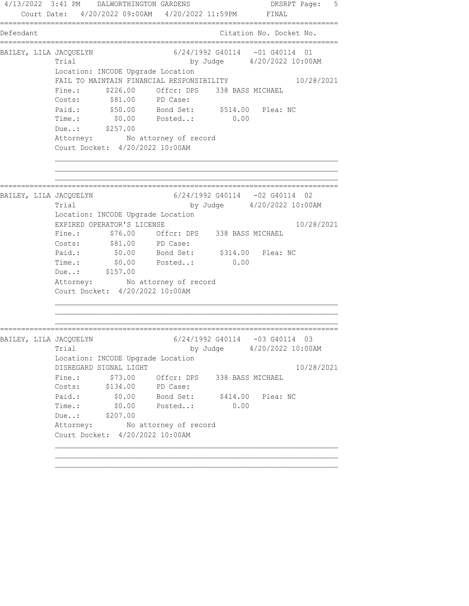4/13/2022 3:41 PM DALWORTHINGTON GARDENS DKSRPT Page: 5 Court Date: 4/20/2022 09:00AM 4/20/2022 11:59PM FINAL ================================================================================ Defendant Citation No. Docket No. ================================================================================ BAILEY, LILA JACQUELYN 6/24/1992 G40114 -01 G40114 01 Trial by Judge 4/20/2022 10:00AM Location: INCODE Upgrade Location FAIL TO MAINTAIN FINANCIAL RESPONSIBILITY 10/28/2021 Fine.:  $$226.00$  Offcr: DPS 338 BASS MICHAEL Costs:  $$81.00$  PD Case: Paid.: \$50.00 Bond Set: \$514.00 Plea: NC Time.: \$0.00 Posted..: 0.00 Due..: \$257.00 Attorney: No attorney of record Court Docket: 4/20/2022 10:00AM ================================================================================ BAILEY, LILA JACQUELYN 6/24/1992 G40114 -02 G40114 02 Trial by Judge 4/20/2022 10:00AM Location: INCODE Upgrade Location EXPIRED OPERATOR'S LICENSE 10/28/2021 Fine.: \$76.00 Offcr: DPS 338 BASS MICHAEL Costs:  $$81.00$  PD Case: Paid.: \$0.00 Bond Set: \$314.00 Plea: NC Time.:  $$0.00$  Posted..: 0.00 Due..: \$157.00 Attorney: No attorney of record Court Docket: 4/20/2022 10:00AM ================================================================================ BAILEY, LILA JACQUELYN 6/24/1992 G40114 -03 G40114 03 Trial by Judge 4/20/2022 10:00AM Location: INCODE Upgrade Location DISREGARD SIGNAL LIGHT 10/28/2021 Fine.: \$73.00 Offcr: DPS 338 BASS MICHAEL Costs: \$134.00 PD Case: Paid.: \$0.00 Bond Set: \$414.00 Plea: NC Time.: \$0.00 Posted..: 0.00 Due..: \$207.00 Attorney: No attorney of record Court Docket: 4/20/2022 10:00AM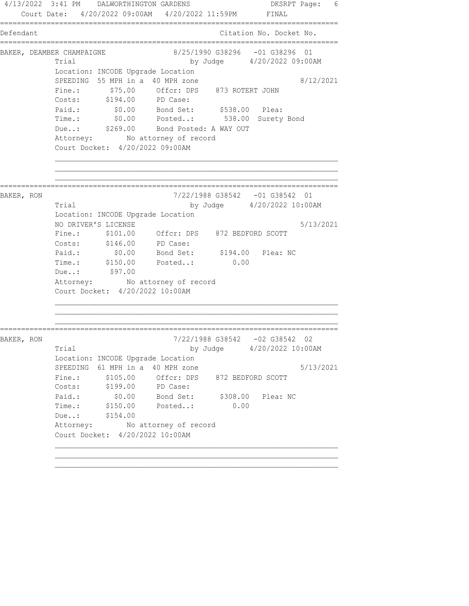4/13/2022 3:41 PM DALWORTHINGTON GARDENS DKSRPT Page: 6 Court Date: 4/20/2022 09:00AM 4/20/2022 11:59PM FINAL ================================================================================ Defendant Citation No. Docket No. ================================================================================ BAKER, DEAMBER CHAMPAIGNE 68/25/1990 638296 -01 638296 01 Trial by Judge 4/20/2022 09:00AM Location: INCODE Upgrade Location SPEEDING 55 MPH in a 40 MPH zone 8/12/2021 Fine.: \$75.00 Offcr: DPS 873 ROTERT JOHN Costs: \$194.00 PD Case: Paid.: \$0.00 Bond Set: \$538.00 Plea: Time.: \$0.00 Posted..: 538.00 Surety Bond Due..:  $$269.00$  Bond Posted: A WAY OUT Attorney: No attorney of record Court Docket: 4/20/2022 09:00AM ================================================================================ BAKER, RON 7/22/1988 G38542 -01 G38542 01 Trial by Judge  $4/20/2022$  10:00AM Location: INCODE Upgrade Location NO DRIVER'S LICENSE 5/13/2021 Fine.: \$101.00 Offcr: DPS 872 BEDFORD SCOTT Costs: \$146.00 PD Case: Paid.: \$0.00 Bond Set: \$194.00 Plea: NC Time.: \$150.00 Posted..: 0.00 Due..: \$97.00 Attorney: No attorney of record Court Docket: 4/20/2022 10:00AM ================================================================================ BAKER, RON 7/22/1988 G38542 -02 G38542 02 Trial by Judge  $4/20/2022$  10:00AM Location: INCODE Upgrade Location SPEEDING  $61$  MPH in a 40 MPH zone  $5/13/2021$ Fine.:  $$105.00$  Offcr: DPS 872 BEDFORD SCOTT Costs: \$199.00 PD Case: Paid.: \$0.00 Bond Set: \$308.00 Plea: NC Time.: \$150.00 Posted..: 0.00 Due..: \$154.00 Attorney: No attorney of record Court Docket: 4/20/2022 10:00AM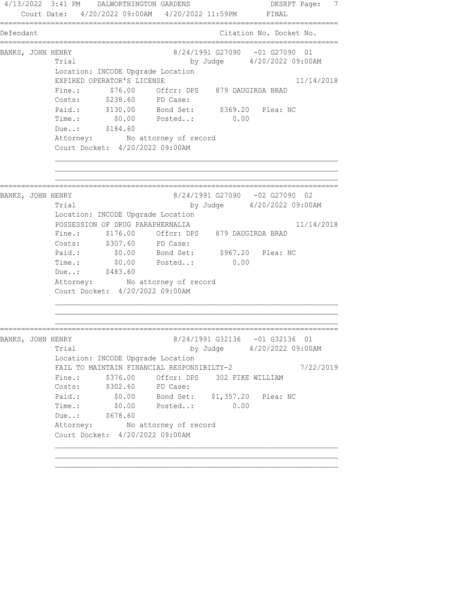4/13/2022 3:41 PM DALWORTHINGTON GARDENS DESRPT Page: 7 Court Date: 4/20/2022 09:00AM 4/20/2022 11:59PM FINAL ================================================================================ Defendant Citation No. Docket No. ================================================================================ BANKS, JOHN HENRY 8/24/1991 G27090 -01 G27090 01 Trial by Judge  $4/20/2022$  09:00AM Location: INCODE Upgrade Location EXPIRED OPERATOR'S LICENSE 11/14/2018 Fine.:  $$76.00$  Offcr: DPS 879 DAUGIRDA BRAD Costs: \$238.60 PD Case: Paid.: \$130.00 Bond Set: \$369.20 Plea: NC Time.: \$0.00 Posted..: 0.00 Due..: \$184.60 Attorney: No attorney of record Court Docket: 4/20/2022 09:00AM ================================================================================ BANKS, JOHN HENRY 8/24/1991 G27090 -02 G27090 02 Trial by Judge 4/20/2022 09:00AM Location: INCODE Upgrade Location POSSESSION OF DRUG PARAPHERNALIA 11/14/2018 Fine.: \$176.00 Offcr: DPS 879 DAUGIRDA BRAD Costs: \$307.60 PD Case: Paid.: \$0.00 Bond Set: \$967.20 Plea: NC Time.:  $$0.00$  Posted..: 0.00 Due..: \$483.60 Attorney: No attorney of record Court Docket: 4/20/2022 09:00AM ================================================================================ BANKS, JOHN HENRY 8/24/1991 G32136 -01 G32136 01 Trial by Judge 4/20/2022 09:00AM Location: INCODE Upgrade Location FAIL TO MAINTAIN FINANCIAL RESPONSIBILTY-2  $7/22/2019$ Fine.: \$376.00 Offcr: DPS 302 FIKE WILLIAM Costs: \$302.60 PD Case: Paid.: \$0.00 Bond Set: \$1,357.20 Plea: NC Time.: \$0.00 Posted..: 0.00 Due..: \$678.60 Attorney: No attorney of record Court Docket: 4/20/2022 09:00AM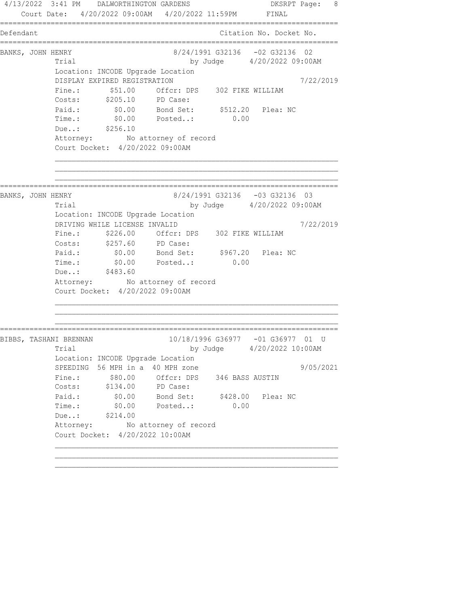4/13/2022 3:41 PM DALWORTHINGTON GARDENS DKSRPT Page: 8 Court Date: 4/20/2022 09:00AM 4/20/2022 11:59PM FINAL ================================================================================ Defendant Citation No. Docket No. ================================================================================ BANKS, JOHN HENRY 8/24/1991 G32136 -02 G32136 02 Trial by Judge  $4/20/2022$  09:00AM Location: INCODE Upgrade Location DISPLAY EXPIRED REGISTRATION 7/22/2019 Fine.:  $$51.00$  Offcr: DPS 302 FIKE WILLIAM Costs: \$205.10 PD Case: Paid.: \$0.00 Bond Set: \$512.20 Plea: NC Time.: \$0.00 Posted..: 0.00 Due..: \$256.10 Attorney: No attorney of record Court Docket: 4/20/2022 09:00AM ================================================================================ BANKS, JOHN HENRY 8/24/1991 G32136 -03 G32136 03 Trial by Judge 4/20/2022 09:00AM Location: INCODE Upgrade Location DRIVING WHILE LICENSE INVALID 7/22/2019 Fine.: \$226.00 Offcr: DPS 302 FIKE WILLIAM Costs: \$257.60 PD Case: Paid.: \$0.00 Bond Set: \$967.20 Plea: NC Time.:  $$0.00$  Posted..: 0.00 Due..: \$483.60 Attorney: No attorney of record Court Docket: 4/20/2022 09:00AM ================================================================================ BIBBS, TASHANI BRENNAN 10/18/1996 G36977 -01 G36977 01 U Trial by Judge 4/20/2022 10:00AM Location: INCODE Upgrade Location SPEEDING 56 MPH in a 40 MPH zone  $9/05/2021$ Fine.:  $$80.00$  Offcr: DPS 346 BASS AUSTIN Costs: \$134.00 PD Case: Paid.: \$0.00 Bond Set: \$428.00 Plea: NC Time.: \$0.00 Posted..: 0.00 Due..: \$214.00 Attorney: No attorney of record Court Docket: 4/20/2022 10:00AM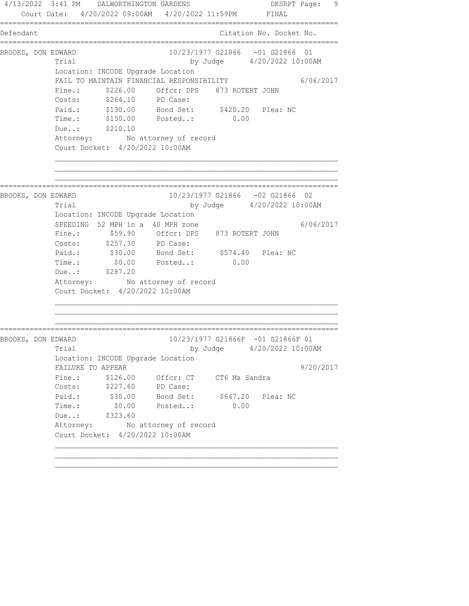4/13/2022 3:41 PM DALWORTHINGTON GARDENS DESRPT Page: 9 Court Date: 4/20/2022 09:00AM 4/20/2022 11:59PM FINAL ================================================================================ Defendant Citation No. Docket No. ================================================================================ BROOKS, DON EDWARD 10/23/1977 G21866 -01 G21866 01 Trial by Judge 4/20/2022 10:00AM Location: INCODE Upgrade Location FAIL TO MAINTAIN FINANCIAL RESPONSIBILITY 6/06/2017 Fine.:  $$226.00$  Offcr: DPS 873 ROTERT JOHN Costs: \$264.10 PD Case: Paid.: \$130.00 Bond Set: \$420.20 Plea: NC Time.: \$150.00 Posted..: 0.00 Due..: \$210.10 Attorney: No attorney of record Court Docket: 4/20/2022 10:00AM ================================================================================ BROOKS, DON EDWARD 10/23/1977 G21866 -02 G21866 02 Trial by Judge 4/20/2022 10:00AM Location: INCODE Upgrade Location SPEEDING 52 MPH in a 40 MPH zone  $6/06/2017$  Fine.: \$59.90 Offcr: DPS 873 ROTERT JOHN Costs: \$257.30 PD Case: Paid.: \$30.00 Bond Set: \$574.40 Plea: NC Time.:  $$0.00$  Posted..: 0.00 Due..: \$287.20 Attorney: No attorney of record Court Docket: 4/20/2022 10:00AM ================================================================================ BROOKS, DON EDWARD 10/23/1977 G21866F -01 G21866F 01 Trial by Judge  $4/20/2022$  10:00AM Location: INCODE Upgrade Location FAILURE TO APPEAR 9/20/2017 Fine.: \$126.00 Offcr: CT CT6 Ma Sandra Costs: \$227.60 PD Case: Paid.: \$30.00 Bond Set: \$647.20 Plea: NC Time.: \$0.00 Posted..: 0.00 Due..: \$323.60 Attorney: No attorney of record Court Docket: 4/20/2022 10:00AM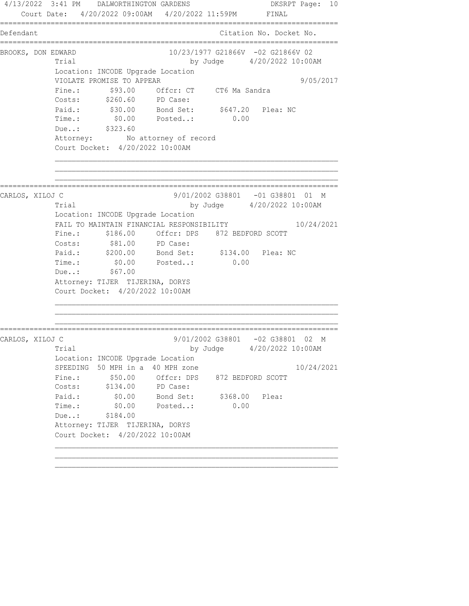4/13/2022 3:41 PM DALWORTHINGTON GARDENS DKSRPT Page: 10 Court Date: 4/20/2022 09:00AM 4/20/2022 11:59PM FINAL ================================================================================ Defendant Citation No. Docket No. ================================================================================ BROOKS, DON EDWARD 10/23/1977 G21866V -02 G21866V 02 Trial by Judge  $4/20/2022$  10:00AM Location: INCODE Upgrade Location VIOLATE PROMISE TO APPEAR 9/05/2017 Fine.: \$93.00 Offcr: CT CT6 Ma Sandra Costs: \$260.60 PD Case: Paid.: \$30.00 Bond Set: \$647.20 Plea: NC Time.: \$0.00 Posted..: 0.00 Due..: \$323.60 Attorney: No attorney of record Court Docket: 4/20/2022 10:00AM ================================================================================ CARLOS, XILOJ C 9/01/2002 G38801 -01 G38801 01 M Trial by Judge 4/20/2022 10:00AM Location: INCODE Upgrade Location FAIL TO MAINTAIN FINANCIAL RESPONSIBILITY 10/24/2021 Fine.: \$186.00 Offcr: DPS 872 BEDFORD SCOTT Costs:  $$81.00$  PD Case: Paid.: \$200.00 Bond Set: \$134.00 Plea: NC Time.:  $$0.00$  Posted..: 0.00 Time.: \$0.00<br>Due..: \$67.00 Attorney: TIJER TIJERINA, DORYS Court Docket: 4/20/2022 10:00AM ================================================================================ CARLOS, XILOJ C 9/01/2002 G38801 -02 G38801 02 M Trial by Judge 4/20/2022 10:00AM Location: INCODE Upgrade Location SPEEDING 50 MPH in a 40 MPH zone 10/24/2021 Fine.:  $$50.00$  Offcr: DPS 872 BEDFORD SCOTT Costs: \$134.00 PD Case: Paid.: \$0.00 Bond Set: \$368.00 Plea: Time.: \$0.00 Posted..: 0.00 Due..: \$184.00 Attorney: TIJER TIJERINA, DORYS Court Docket: 4/20/2022 10:00AM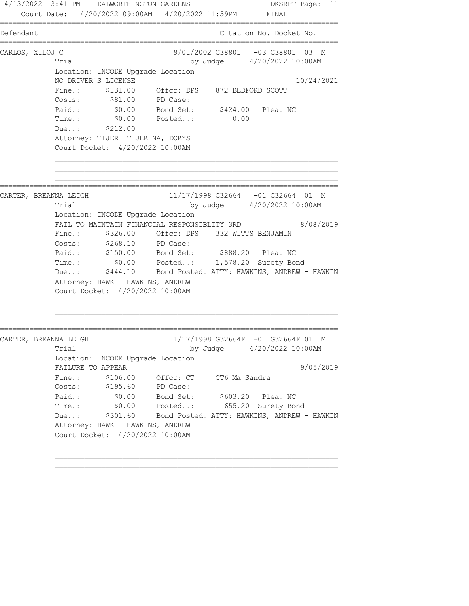4/13/2022 3:41 PM DALWORTHINGTON GARDENS DKSRPT Page: 11 Court Date: 4/20/2022 09:00AM 4/20/2022 11:59PM FINAL ================================================================================ Defendant Citation No. Docket No. ================================================================================ CARLOS, XILOJ C 9/01/2002 G38801 -03 G38801 03 M Trial by Judge 4/20/2022 10:00AM Location: INCODE Upgrade Location NO DRIVER'S LICENSE 10/24/2021 Fine.: \$131.00 Offcr: DPS 872 BEDFORD SCOTT Costs:  $$81.00$  PD Case: Paid.: \$0.00 Bond Set: \$424.00 Plea: NC Time.: \$0.00 Posted..: 0.00 Due..: \$212.00 Attorney: TIJER TIJERINA, DORYS Court Docket: 4/20/2022 10:00AM ================================================================================ CARTER, BREANNA LEIGH 11/17/1998 G32664 -01 G32664 01 M Trial by Judge 4/20/2022 10:00AM Location: INCODE Upgrade Location FAIL TO MAINTAIN FINANCIAL RESPONSIBLITY 3RD 8/08/2019 Fine.: \$326.00 Offcr: DPS 332 WITTS BENJAMIN Costs: \$268.10 PD Case: Paid.: \$150.00 Bond Set: \$888.20 Plea: NC Time.: \$0.00 Posted..: 1,578.20 Surety Bond Due..: \$444.10 Bond Posted: ATTY: HAWKINS, ANDREW - HAWKIN Attorney: HAWKI HAWKINS, ANDREW Court Docket: 4/20/2022 10:00AM ================================================================================ CARTER, BREANNA LEIGH 11/17/1998 G32664F -01 G32664F 01 M Trial by Judge  $4/20/2022$  10:00AM Location: INCODE Upgrade Location FAILURE TO APPEAR 9/05/2019 Fine.: \$106.00 Offcr: CT CT6 Ma Sandra Costs: \$195.60 PD Case: Paid.: \$0.00 Bond Set: \$603.20 Plea: NC Time.: \$0.00 Posted..: 655.20 Surety Bond Due..: \$301.60 Bond Posted: ATTY: HAWKINS, ANDREW - HAWKIN Attorney: HAWKI HAWKINS, ANDREW Court Docket: 4/20/2022 10:00AM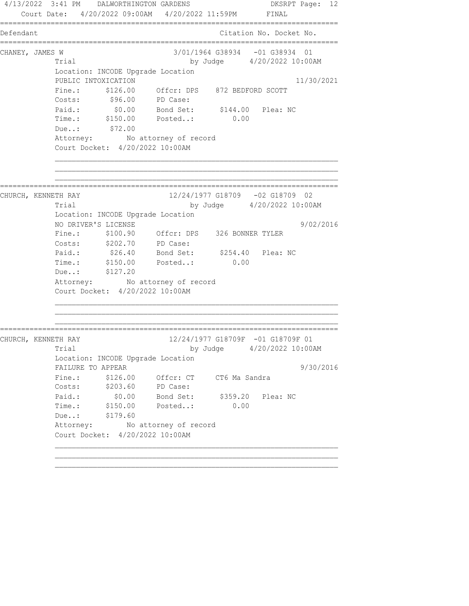4/13/2022 3:41 PM DALWORTHINGTON GARDENS DKSRPT Page: 12 Court Date: 4/20/2022 09:00AM 4/20/2022 11:59PM FINAL ================================================================================ Defendant Citation No. Docket No. ================================================================================ CHANEY, JAMES W 3/01/1964 G38934 -01 G38934 01 Trial by Judge  $4/20/2022$  10:00AM Location: INCODE Upgrade Location PUBLIC INTOXICATION 11/30/2021 Fine.: \$126.00 Offcr: DPS 872 BEDFORD SCOTT Costs: \$96.00 PD Case: Paid.: \$0.00 Bond Set: \$144.00 Plea: NC Time.: \$150.00 Posted..: 0.00 Due..: \$72.00 Attorney: No attorney of record Court Docket: 4/20/2022 10:00AM ================================================================================ CHURCH, KENNETH RAY 12/24/1977 G18709 -02 G18709 02 Trial by Judge 4/20/2022 10:00AM Location: INCODE Upgrade Location NO DRIVER'S LICENSE 9/02/2016 Fine.: \$100.90 Offcr: DPS 326 BONNER TYLER Costs: \$202.70 PD Case: Paid.: \$26.40 Bond Set: \$254.40 Plea: NC Paid.: \$26.40 Bond Set: \$254.40<br>Time.: \$150.00 Posted..: 0.00 Due..: \$127.20 Attorney: No attorney of record Court Docket: 4/20/2022 10:00AM ================================================================================ CHURCH, KENNETH RAY 12/24/1977 G18709F -01 G18709F 01 Trial by Judge  $4/20/2022$  10:00AM Location: INCODE Upgrade Location FAILURE TO APPEAR 9/30/2016 Fine.:  $$126.00$  Offcr: CT CT6 Ma Sandra Costs: \$203.60 PD Case: Paid.: \$0.00 Bond Set: \$359.20 Plea: NC Time.: \$150.00 Posted..: 0.00 Due..: \$179.60 Attorney: No attorney of record Court Docket: 4/20/2022 10:00AM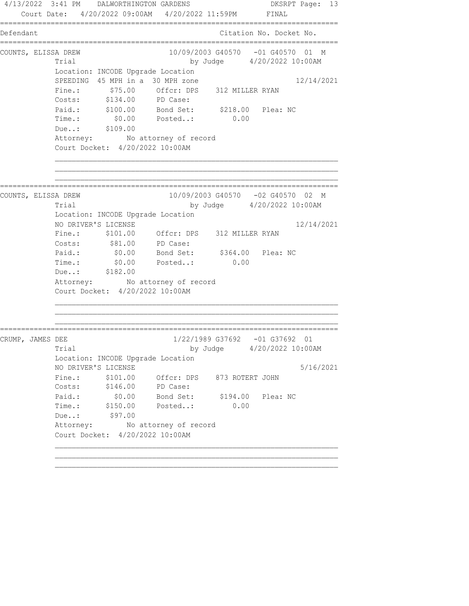4/13/2022 3:41 PM DALWORTHINGTON GARDENS DKSRPT Page: 13 Court Date: 4/20/2022 09:00AM 4/20/2022 11:59PM FINAL ================================================================================ Defendant Citation No. Docket No. ================================================================================ COUNTS, ELISSA DREW 10/09/2003 G40570 -01 G40570 01 M Trial by Judge  $4/20/2022$  10:00AM Location: INCODE Upgrade Location SPEEDING 45 MPH in a 30 MPH zone 12/14/2021 Fine.: \$75.00 Offcr: DPS 312 MILLER RYAN Costs: \$134.00 PD Case: Paid.: \$100.00 Bond Set: \$218.00 Plea: NC Time.: \$0.00 Posted..: 0.00 Due..: \$109.00 Attorney: No attorney of record Court Docket: 4/20/2022 10:00AM ================================================================================ COUNTS, ELISSA DREW 10/09/2003 G40570 -02 G40570 02 M Trial by Judge 4/20/2022 10:00AM Location: INCODE Upgrade Location NO DRIVER'S LICENSE 12/14/2021 Fine.: \$101.00 Offcr: DPS 312 MILLER RYAN Costs:  $$81.00$  PD Case: Paid.: \$0.00 Bond Set: \$364.00 Plea: NC Time.:  $$0.00$  Posted..: 0.00 Due..: \$182.00 Attorney: No attorney of record Court Docket: 4/20/2022 10:00AM ================================================================================ CRUMP, JAMES DEE 1/22/1989 G37692 -01 G37692 01 Trial by Judge 4/20/2022 10:00AM Location: INCODE Upgrade Location NO DRIVER'S LICENSE 5/16/2021 Fine.:  $$101.00$  Offcr: DPS 873 ROTERT JOHN Costs: \$146.00 PD Case: Paid.: \$0.00 Bond Set: \$194.00 Plea: NC Time.: \$150.00 Posted..: 0.00 Due..: \$97.00 Attorney: No attorney of record Court Docket: 4/20/2022 10:00AM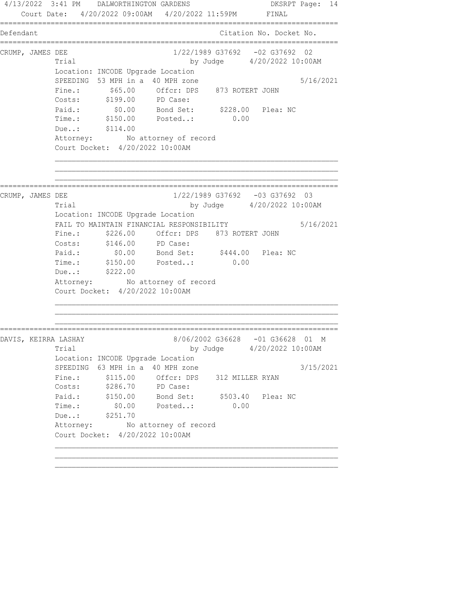4/13/2022 3:41 PM DALWORTHINGTON GARDENS DKSRPT Page: 14 Court Date: 4/20/2022 09:00AM 4/20/2022 11:59PM FINAL ================================================================================ Defendant Citation No. Docket No. ================================================================================ CRUMP, JAMES DEE 1/22/1989 G37692 -02 G37692 02 Trial by Judge  $4/20/2022$  10:00AM Location: INCODE Upgrade Location SPEEDING 53 MPH in a 40 MPH zone 5/16/2021<br>Fine.: \$65.00 Offcr: DPS 873 ROTERT JOHN Fine.: \$65.00 Offcr: DPS 873 ROTERT JOHN Costs: \$199.00 PD Case: Paid.: \$0.00 Bond Set: \$228.00 Plea: NC Time.: \$150.00 Posted..: 0.00 Due..: \$114.00 Attorney: No attorney of record Court Docket: 4/20/2022 10:00AM ================================================================================ CRUMP, JAMES DEE 1/22/1989 G37692 -03 G37692 03 Trial by Judge 4/20/2022 10:00AM Location: INCODE Upgrade Location FAIL TO MAINTAIN FINANCIAL RESPONSIBILITY 5/16/2021 Fine.: \$226.00 Offcr: DPS 873 ROTERT JOHN Costs: \$146.00 PD Case: Paid.: \$0.00 Bond Set: \$444.00 Plea: NC Time.: \$150.00 Posted..: 0.00 Due..: \$222.00 Attorney: No attorney of record Court Docket: 4/20/2022 10:00AM ================================================================================ DAVIS, KEIRRA LASHAY 8/06/2002 G36628 -01 G36628 01 M Trial by Judge 4/20/2022 10:00AM Location: INCODE Upgrade Location SPEEDING 63 MPH in a 40 MPH zone 3/15/2021 Fine.:  $$115.00$  Offcr: DPS 312 MILLER RYAN Costs: \$286.70 PD Case: Paid.: \$150.00 Bond Set: \$503.40 Plea: NC Time.: \$0.00 Posted..: 0.00 Due..: \$251.70 Attorney: No attorney of record Court Docket: 4/20/2022 10:00AM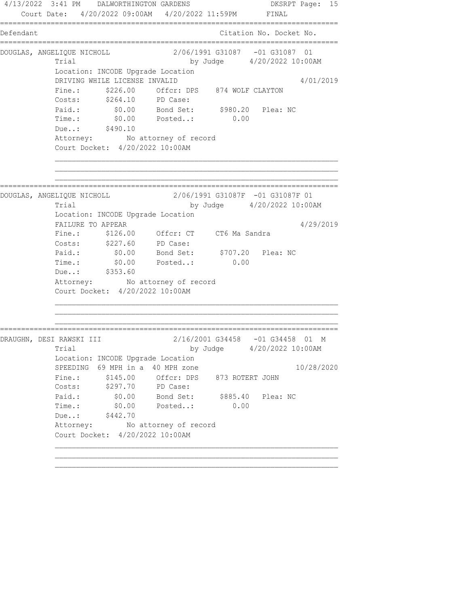4/13/2022 3:41 PM DALWORTHINGTON GARDENS DKSRPT Page: 15 Court Date: 4/20/2022 09:00AM 4/20/2022 11:59PM FINAL ================================================================================ Defendant Citation No. Docket No. ================================================================================ DOUGLAS, ANGELIQUE NICHOLL 2/06/1991 G31087 -01 G31087 01 Trial by Judge  $4/20/2022$  10:00AM Location: INCODE Upgrade Location DRIVING WHILE LICENSE INVALID 4/01/2019 Fine.: \$226.00 Offcr: DPS 874 WOLF CLAYTON Costs: \$264.10 PD Case: Paid.: \$0.00 Bond Set: \$980.20 Plea: NC Time.: \$0.00 Posted..: 0.00 Due..: \$490.10 Attorney: No attorney of record Court Docket: 4/20/2022 10:00AM ================================================================================ DOUGLAS, ANGELIQUE NICHOLL 2/06/1991 G31087F -01 G31087F 01 Trial by Judge 4/20/2022 10:00AM Location: INCODE Upgrade Location FAILURE TO APPEAR 4/29/2019 Fine.: \$126.00 Offcr: CT CT6 Ma Sandra Costs: \$227.60 PD Case: Paid.: \$0.00 Bond Set: \$707.20 Plea: NC Time.:  $$0.00$  Posted..: 0.00 Due..: \$353.60 Attorney: No attorney of record Court Docket: 4/20/2022 10:00AM ================================================================================ DRAUGHN, DESI RAWSKI III 2/16/2001 G34458 -01 G34458 01 M Trial by Judge  $4/20/2022$  10:00AM Location: INCODE Upgrade Location SPEEDING 69 MPH in a 40 MPH zone 10/28/2020 Fine.:  $$145.00$  Offcr: DPS 873 ROTERT JOHN Costs: \$297.70 PD Case: Paid.: \$0.00 Bond Set: \$885.40 Plea: NC Time.: \$0.00 Posted..: 0.00 Due..: \$442.70 Attorney: No attorney of record Court Docket: 4/20/2022 10:00AM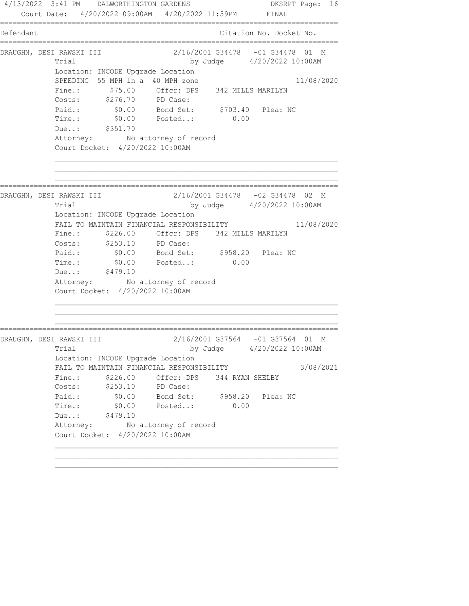4/13/2022 3:41 PM DALWORTHINGTON GARDENS DKSRPT Page: 16 Court Date: 4/20/2022 09:00AM 4/20/2022 11:59PM FINAL ================================================================================ Defendant Citation No. Docket No. ================================================================================ DRAUGHN, DESI RAWSKI III 2/16/2001 G34478 -01 G34478 01 M Trial by Judge  $4/20/2022$  10:00AM Location: INCODE Upgrade Location SPEEDING 55 MPH in a 40 MPH zone 11/08/2020 Fine.: \$75.00 Offcr: DPS 342 MILLS MARILYN Costs: \$276.70 PD Case: Paid.: \$0.00 Bond Set: \$703.40 Plea: NC Time.: \$0.00 Posted..: 0.00 Due..: \$351.70 Attorney: No attorney of record Court Docket: 4/20/2022 10:00AM ================================================================================ DRAUGHN, DESI RAWSKI III 2/16/2001 G34478 -02 G34478 02 M Trial by Judge 4/20/2022 10:00AM Location: INCODE Upgrade Location FAIL TO MAINTAIN FINANCIAL RESPONSIBILITY 11/08/2020 Fine.: \$226.00 Offcr: DPS 342 MILLS MARILYN Costs: \$253.10 PD Case: Paid.: \$0.00 Bond Set: \$958.20 Plea: NC Paid.: \$0.00 Bond Set: \$958.20 Plea: NC<br>Time.: \$0.00 Posted..: 0.00 Due..: \$479.10 Attorney: No attorney of record Court Docket: 4/20/2022 10:00AM ================================================================================ DRAUGHN, DESI RAWSKI III 2/16/2001 G37564 -01 G37564 01 M Trial by Judge  $4/20/2022$  10:00AM Location: INCODE Upgrade Location FAIL TO MAINTAIN FINANCIAL RESPONSIBILITY 3/08/2021 Fine.:  $$226.00$  Offcr: DPS 344 RYAN SHELBY Costs: \$253.10 PD Case: Paid.: \$0.00 Bond Set: \$958.20 Plea: NC Time.: \$0.00 Posted..: 0.00 Due..: \$479.10 Attorney: No attorney of record Court Docket: 4/20/2022 10:00AM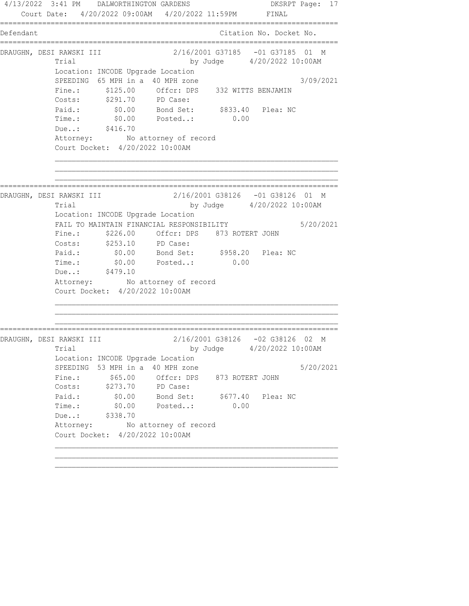4/13/2022 3:41 PM DALWORTHINGTON GARDENS DKSRPT Page: 17 Court Date: 4/20/2022 09:00AM 4/20/2022 11:59PM FINAL ================================================================================ Defendant Citation No. Docket No. ================================================================================ DRAUGHN, DESI RAWSKI III 2/16/2001 G37185 -01 G37185 01 M Trial by Judge  $4/20/2022$  10:00AM Location: INCODE Upgrade Location SPEEDING 65 MPH in a 40 MPH zone 3/09/2021 Fine.: \$125.00 Offcr: DPS 332 WITTS BENJAMIN Costs: \$291.70 PD Case: Paid.: \$0.00 Bond Set: \$833.40 Plea: NC Time.: \$0.00 Posted..: 0.00 Due..: \$416.70 Attorney: No attorney of record Court Docket: 4/20/2022 10:00AM ================================================================================ DRAUGHN, DESI RAWSKI III 2/16/2001 G38126 -01 G38126 01 M Trial by Judge 4/20/2022 10:00AM Location: INCODE Upgrade Location FAIL TO MAINTAIN FINANCIAL RESPONSIBILITY 5/20/2021 Fine.: \$226.00 Offcr: DPS 873 ROTERT JOHN Costs: \$253.10 PD Case: Paid.: \$0.00 Bond Set: \$958.20 Plea: NC Time.:  $$0.00$  Posted..: 0.00 Due..: \$479.10 Attorney: No attorney of record Court Docket: 4/20/2022 10:00AM ================================================================================ DRAUGHN, DESI RAWSKI III 2/16/2001 G38126 -02 G38126 02 M Trial by Judge 4/20/2022 10:00AM Location: INCODE Upgrade Location SPEEDING 53 MPH in a 40 MPH zone  $5/20/2021$ Fine.:  $$65.00$  Offcr: DPS 873 ROTERT JOHN Costs: \$273.70 PD Case: Paid.: \$0.00 Bond Set: \$677.40 Plea: NC Time.: \$0.00 Posted..: 0.00 Due..: \$338.70 Attorney: No attorney of record Court Docket: 4/20/2022 10:00AM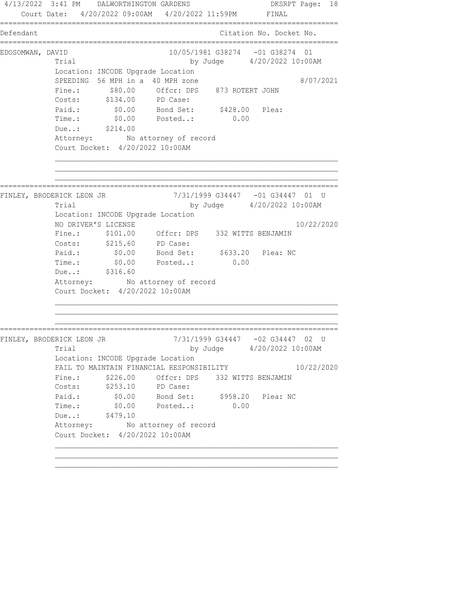4/13/2022 3:41 PM DALWORTHINGTON GARDENS DKSRPT Page: 18 Court Date: 4/20/2022 09:00AM 4/20/2022 11:59PM FINAL ================================================================================ Defendant Citation No. Docket No. ================================================================================ EDOSOMWAN, DAVID 10/05/1981 G38274 -01 G38274 01 Trial by Judge 4/20/2022 10:00AM Location: INCODE Upgrade Location SPEEDING 56 MPH in a 40 MPH zone 8/07/2021 Fine.: \$80.00 Offcr: DPS 873 ROTERT JOHN Costs: \$134.00 PD Case: Paid.: \$0.00 Bond Set: \$428.00 Plea: Time.: \$0.00 Posted..: 0.00 Due..: \$214.00 Attorney: No attorney of record Court Docket: 4/20/2022 10:00AM ================================================================================ FINLEY, BRODERICK LEON JR 7/31/1999 G34447 -01 G34447 01 U Trial by Judge 4/20/2022 10:00AM Location: INCODE Upgrade Location NO DRIVER'S LICENSE 10/22/2020 Fine.: \$101.00 Offcr: DPS 332 WITTS BENJAMIN Costs: \$215.60 PD Case: Paid.: \$0.00 Bond Set: \$633.20 Plea: NC Time.:  $$0.00$  Posted..: 0.00 Due..: \$316.60 Attorney: No attorney of record Court Docket: 4/20/2022 10:00AM ================================================================================ FINLEY, BRODERICK LEON JR 7/31/1999 G34447 -02 G34447 02 U Trial by Judge 4/20/2022 10:00AM Location: INCODE Upgrade Location FAIL TO MAINTAIN FINANCIAL RESPONSIBILITY 10/22/2020 Fine.:  $$226.00$  Offcr: DPS 332 WITTS BENJAMIN Costs: \$253.10 PD Case: Paid.: \$0.00 Bond Set: \$958.20 Plea: NC Time.: \$0.00 Posted..: 0.00 Due..: \$479.10 Attorney: No attorney of record Court Docket: 4/20/2022 10:00AM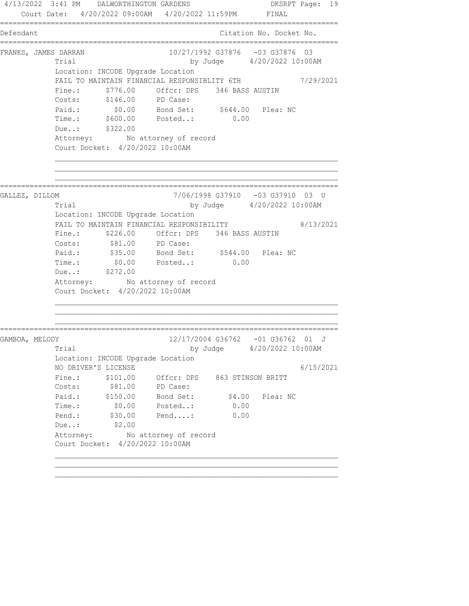4/13/2022 3:41 PM DALWORTHINGTON GARDENS DKSRPT Page: 19 Court Date: 4/20/2022 09:00AM 4/20/2022 11:59PM FINAL ================================================================================ Defendant Citation No. Docket No. ================================================================================ FRANKS, JAMES DARRAN 10/27/1992 G37876 -03 G37876 03 Trial by Judge 4/20/2022 10:00AM Location: INCODE Upgrade Location FAIL TO MAINTAIN FINANCIAL RESPONSIBLITY 6TH  $7/29/2021$ Fine.:  $$776.00$  Offcr: DPS 346 BASS AUSTIN Costs: \$146.00 PD Case: Paid.: \$0.00 Bond Set: \$644.00 Plea: NC Time.: \$600.00 Posted..: 0.00 Due..: \$322.00 Attorney: No attorney of record Court Docket: 4/20/2022 10:00AM ================================================================================ GALLEZ, DILLOM 7/06/1998 G37910 -03 G37910 03 U Trial by Judge 4/20/2022 10:00AM Location: INCODE Upgrade Location FAIL TO MAINTAIN FINANCIAL RESPONSIBILITY 8/13/2021 Fine.: \$226.00 Offcr: DPS 346 BASS AUSTIN Costs:  $$81.00$  PD Case: Paid.: \$35.00 Bond Set: \$544.00 Plea: NC Time.:  $$0.00$  Posted..: 0.00 Due..: \$272.00 Attorney: No attorney of record Court Docket: 4/20/2022 10:00AM ================================================================================ GAMBOA, MELODY 12/17/2004 G36762 -01 G36762 01 J Trial by Judge  $4/20/2022$  10:00AM Location: INCODE Upgrade Location NO DRIVER'S LICENSE 6/15/2021 Fine.:  $$101.00$  Offcr: DPS 863 STINSON BRITT Costs:  $$81.00$  PD Case: Paid.: \$150.00 Bond Set: \$4.00 Plea: NC Time.: \$0.00 Posted..: 0.00 Pend.: \$30.00 Pend....: 0.00 Due..: \$2.00 Attorney: No attorney of record Court Docket: 4/20/2022 10:00AM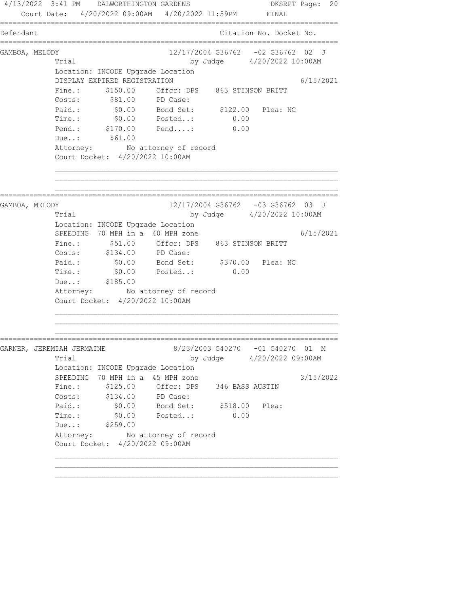4/13/2022 3:41 PM DALWORTHINGTON GARDENS DKSRPT Page: 20 Court Date: 4/20/2022 09:00AM 4/20/2022 11:59PM FINAL ================================================================================ Defendant Citation No. Docket No. ================================================================================ GAMBOA, MELODY 12/17/2004 G36762 -02 G36762 02 J Trial by Judge  $4/20/2022$  10:00AM Location: INCODE Upgrade Location DISPLAY EXPIRED REGISTRATION 6/15/2021 Fine.: \$150.00 Offcr: DPS 863 STINSON BRITT Costs: \$81.00 PD Case: Paid.: \$0.00 Bond Set: \$122.00 Plea: NC Time.: \$0.00 Posted..: 0.00 Pend.: \$170.00 Pend....: 0.00 00.00<br>Pend.: \$170.00<br>Due..: \$61.00 Attorney: No attorney of record Court Docket: 4/20/2022 10:00AM ================================================================================ GAMBOA, MELODY 636762 -03 G36762 03 J Trial by Judge 4/20/2022 10:00AM Location: INCODE Upgrade Location SPEEDING 70 MPH in a 40 MPH zone 6/15/2021 Fine.: \$51.00 Offcr: DPS 863 STINSON BRITT Costs: \$134.00 PD Case: Paid.: \$0.00 Bond Set: \$370.00 Plea: NC Time.:  $$0.00$  Posted..: 0.00 Due..: \$185.00 Attorney: No attorney of record Court Docket: 4/20/2022 10:00AM ================================================================================ GARNER, JEREMIAH JERMAINE 8/23/2003 G40270 -01 G40270 01 M Trial by Judge  $4/20/2022$  09:00AM Location: INCODE Upgrade Location SPEEDING 70 MPH in a 45 MPH zone 3/15/2022 Fine.: \$125.00 Offcr: DPS 346 BASS AUSTIN Costs: \$134.00 PD Case: Paid.: \$0.00 Bond Set: \$518.00 Plea: Time.: \$0.00 Posted..: 0.00 Due..: \$259.00 Attorney: No attorney of record Court Docket: 4/20/2022 09:00AM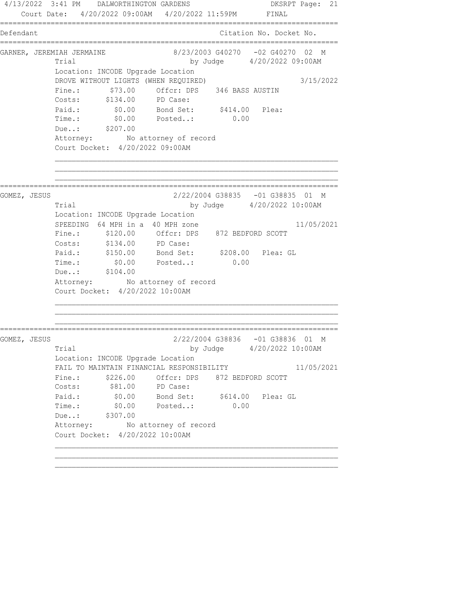4/13/2022 3:41 PM DALWORTHINGTON GARDENS DKSRPT Page: 21 Court Date: 4/20/2022 09:00AM 4/20/2022 11:59PM FINAL ================================================================================ Defendant Citation No. Docket No. ================================================================================ GARNER, JEREMIAH JERMAINE 8/23/2003 G40270 -02 G40270 02 M Trial by Judge 4/20/2022 09:00AM Location: INCODE Upgrade Location DROVE WITHOUT LIGHTS (WHEN REQUIRED) 3/15/2022 Fine.:  $$73.00$  Offcr: DPS 346 BASS AUSTIN Costs: \$134.00 PD Case: Paid.: \$0.00 Bond Set: \$414.00 Plea: Time.: \$0.00 Posted..: 0.00 Due..: \$207.00 Attorney: No attorney of record Court Docket: 4/20/2022 09:00AM ================================================================================ GOMEZ, JESUS 2/22/2004 G38835 -01 G38835 01 M Trial by Judge 4/20/2022 10:00AM Location: INCODE Upgrade Location SPEEDING 64 MPH in a 40 MPH zone 11/05/2021 Fine.: \$120.00 Offcr: DPS 872 BEDFORD SCOTT Costs: \$134.00 PD Case: Paid.: \$150.00 Bond Set: \$208.00 Plea: GL Time.:  $$0.00$  Posted..: 0.00 Due..: \$104.00 Attorney: No attorney of record Court Docket: 4/20/2022 10:00AM ================================================================================ GOMEZ, JESUS 2/22/2004 G38836 -01 G38836 01 M Trial by Judge 4/20/2022 10:00AM Location: INCODE Upgrade Location FAIL TO MAINTAIN FINANCIAL RESPONSIBILITY 11/05/2021 Fine.: \$226.00 Offcr: DPS 872 BEDFORD SCOTT<br>Costs: \$81.00 PD Case: Costs: \$81.00 PD Case: Paid.: \$0.00 Bond Set: \$614.00 Plea: GL Time.: \$0.00 Posted..: 0.00 Due..: \$307.00 Attorney: No attorney of record Court Docket: 4/20/2022 10:00AM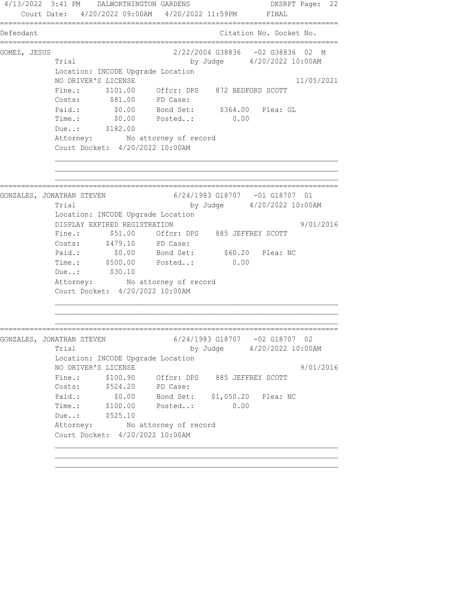4/13/2022 3:41 PM DALWORTHINGTON GARDENS DKSRPT Page: 22 Court Date: 4/20/2022 09:00AM 4/20/2022 11:59PM FINAL ================================================================================ Defendant Citation No. Docket No. ================================================================================ GOMEZ, JESUS 2/22/2004 G38836 -02 G38836 02 M Trial by Judge 4/20/2022 10:00AM Location: INCODE Upgrade Location NO DRIVER'S LICENSE 11/05/2021 Fine.: \$101.00 Offcr: DPS 872 BEDFORD SCOTT Costs: \$81.00 PD Case: Paid.: \$0.00 Bond Set: \$364.00 Plea: GL Time.: \$0.00 Posted..: 0.00 Due..: \$182.00 Attorney: No attorney of record Court Docket: 4/20/2022 10:00AM ================================================================================ GONZALES, JONATHAN STEVEN 6/24/1983 G18707 -01 G18707 01 Trial by Judge 4/20/2022 10:00AM Location: INCODE Upgrade Location DISPLAY EXPIRED REGISTRATION 9/01/2016 Fine.: \$51.00 Offcr: DPS 885 JEFFREY SCOTT Costs: \$479.10 PD Case: Paid.: \$0.00 Bond Set: \$60.20 Plea: NC Time.: \$500.00 Posted..: 0.00 Due..: \$30.10 Attorney: No attorney of record Court Docket: 4/20/2022 10:00AM ================================================================================ GONZALES, JONATHAN STEVEN 6/24/1983 G18707 -02 G18707 02 Trial by Judge 4/20/2022 10:00AM Location: INCODE Upgrade Location NO DRIVER'S LICENSE 9/01/2016 Fine.: \$100.90 Offcr: DPS 885 JEFFREY SCOTT Costs: \$524.20 PD Case: Paid.: \$0.00 Bond Set: \$1,050.20 Plea: NC Time.: \$100.00 Posted..: 0.00 Due..: \$525.10 Attorney: No attorney of record Court Docket: 4/20/2022 10:00AM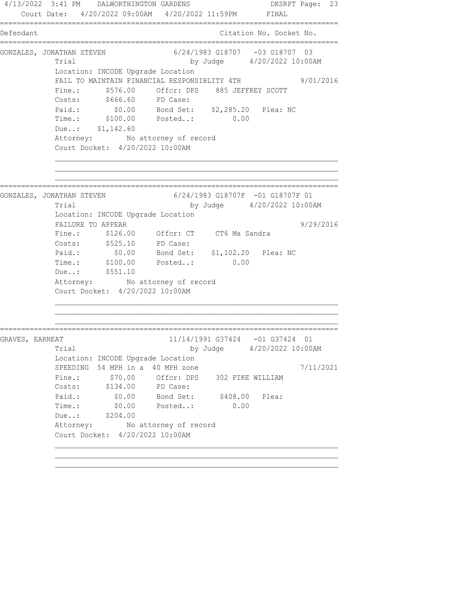4/13/2022 3:41 PM DALWORTHINGTON GARDENS DKSRPT Page: 23 Court Date: 4/20/2022 09:00AM 4/20/2022 11:59PM FINAL ================================================================================ Defendant Citation No. Docket No. ================================================================================ GONZALES, JONATHAN STEVEN 6/24/1983 G18707 -03 G18707 03 Trial by Judge 4/20/2022 10:00AM Location: INCODE Upgrade Location FAIL TO MAINTAIN FINANCIAL RESPONSIBLITY 4TH 9/01/2016 Fine.: \$576.00 Offcr: DPS 885 JEFFREY SCOTT Costs: \$666.60 PD Case: Paid.: \$0.00 Bond Set: \$2,285.20 Plea: NC Time.: \$100.00 Posted..: 0.00 Due..: \$1,142.60 Attorney: No attorney of record Court Docket: 4/20/2022 10:00AM ================================================================================ GONZALES, JONATHAN STEVEN 6/24/1983 G18707F -01 G18707F 01 Trial by Judge 4/20/2022 10:00AM Location: INCODE Upgrade Location FAILURE TO APPEAR 9/29/2016 Fine.: \$126.00 Offcr: CT CT6 Ma Sandra Costs: \$525.10 PD Case: Paid.: \$0.00 Bond Set: \$1,102.20 Plea: NC Time.: \$100.00 Posted..: 0.00 Due..: \$551.10 Attorney: No attorney of record Court Docket: 4/20/2022 10:00AM ================================================================================ GRAVES, EARNEAT 11/14/1991 G37424 -01 G37424 01 Trial by Judge 4/20/2022 10:00AM Location: INCODE Upgrade Location SPEEDING 54 MPH in a 40 MPH zone  $7/11/2021$ Fine.:  $$70.00$  Offcr: DPS 302 FIKE WILLIAM Costs: \$134.00 PD Case: Paid.: \$0.00 Bond Set: \$408.00 Plea: Time.: \$0.00 Posted..: 0.00 Due..: \$204.00 Attorney: No attorney of record Court Docket: 4/20/2022 10:00AM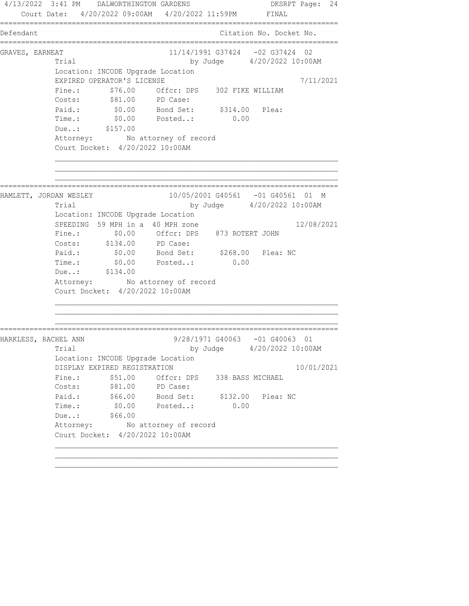4/13/2022 3:41 PM DALWORTHINGTON GARDENS DKSRPT Page: 24 Court Date: 4/20/2022 09:00AM 4/20/2022 11:59PM FINAL ================================================================================ Defendant Citation No. Docket No. ================================================================================ GRAVES, EARNEAT 62 (11/14/1991 G37424 -02 G37424 02 Trial by Judge 4/20/2022 10:00AM Location: INCODE Upgrade Location EXPIRED OPERATOR'S LICENSE 7/11/2021 Fine.:  $$76.00$  Offcr: DPS 302 FIKE WILLIAM Costs: \$81.00 PD Case: Paid.:  $\$0.00$  Bond Set:  $\$314.00$  Plea: Time.: \$0.00 Posted..: 0.00 Due..: \$157.00 Attorney: No attorney of record Court Docket: 4/20/2022 10:00AM ================================================================================ HAMLETT, JORDAN WESLEY 10/05/2001 G40561 -01 G40561 01 M Trial by Judge 4/20/2022 10:00AM Location: INCODE Upgrade Location SPEEDING 59 MPH in a 40 MPH zone 12/08/2021 Fine.: \$0.00 Offcr: DPS 873 ROTERT JOHN Costs: \$134.00 PD Case: Paid.: \$0.00 Bond Set: \$268.00 Plea: NC Time.:  $$0.00$  Posted..: 0.00 Due..: \$134.00 Attorney: No attorney of record Court Docket: 4/20/2022 10:00AM ================================================================================ HARKLESS, RACHEL ANN 9/28/1971 G40063 -01 G40063 01 Trial by Judge 4/20/2022 10:00AM Location: INCODE Upgrade Location DISPLAY EXPIRED REGISTRATION 10/01/2021 Fine.: \$51.00 Offcr: DPS 338 BASS MICHAEL Costs: \$81.00 PD Case: Paid.: \$66.00 Bond Set: \$132.00 Plea: NC Time.: \$0.00 Posted..: 0.00 Due..: \$66.00 Attorney: No attorney of record Court Docket: 4/20/2022 10:00AM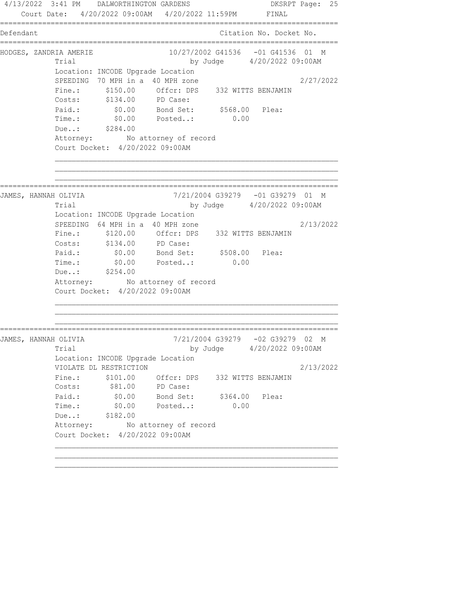4/13/2022 3:41 PM DALWORTHINGTON GARDENS DKSRPT Page: 25 Court Date: 4/20/2022 09:00AM 4/20/2022 11:59PM FINAL ================================================================================ Defendant Citation No. Docket No. ================================================================================ HODGES, ZANDRIA AMERIE 10/27/2002 G41536 -01 G41536 01 M Trial by Judge 4/20/2022 09:00AM Location: INCODE Upgrade Location SPEEDING 70 MPH in a 40 MPH zone 2/27/2022 Fine.: \$150.00 Offcr: DPS 332 WITTS BENJAMIN Costs: \$134.00 PD Case: Paid.: \$0.00 Bond Set: \$568.00 Plea: Time.: \$0.00 Posted..: 0.00 Due..: \$284.00 Attorney: No attorney of record Court Docket: 4/20/2022 09:00AM ================================================================================ JAMES, HANNAH OLIVIA 7/21/2004 G39279 -01 G39279 01 M Trial by Judge 4/20/2022 09:00AM Location: INCODE Upgrade Location SPEEDING 64 MPH in a 40 MPH zone  $2/13/2022$  Fine.: \$120.00 Offcr: DPS 332 WITTS BENJAMIN Costs: \$134.00 PD Case: Paid.: \$0.00 Bond Set: \$508.00 Plea: Time.:  $$0.00$  Posted..: 0.00 Due..: \$254.00 Attorney: No attorney of record Court Docket: 4/20/2022 09:00AM ================================================================================ JAMES, HANNAH OLIVIA 7/21/2004 G39279 -02 G39279 02 M Trial by Judge 4/20/2022 09:00AM Location: INCODE Upgrade Location VIOLATE DL RESTRICTION 2/13/2022 Fine.: \$101.00 Offcr: DPS 332 WITTS BENJAMIN Costs: \$81.00 PD Case: Paid.: \$0.00 Bond Set: \$364.00 Plea: Time.: \$0.00 Posted..: 0.00 Due..: \$182.00 Attorney: No attorney of record Court Docket: 4/20/2022 09:00AM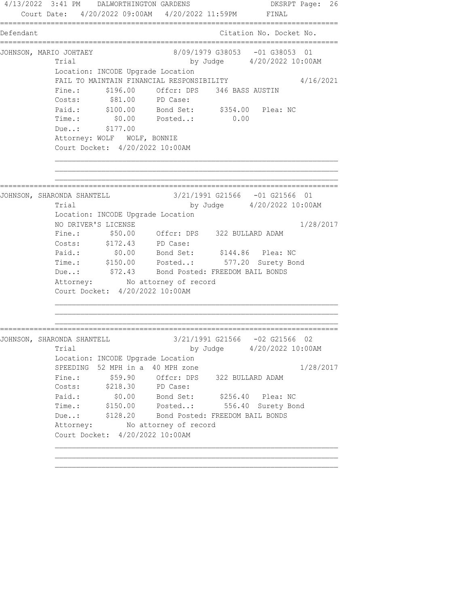4/13/2022 3:41 PM DALWORTHINGTON GARDENS DKSRPT Page: 26 Court Date: 4/20/2022 09:00AM 4/20/2022 11:59PM FINAL ================================================================================ Defendant Citation No. Docket No. ================================================================================ JOHNSON, MARIO JOHTAEY 8/09/1979 G38053 -01 G38053 01 Trial by Judge 4/20/2022 10:00AM Location: INCODE Upgrade Location FAIL TO MAINTAIN FINANCIAL RESPONSIBILITY 4/16/2021 Fine.:  $$196.00$  Offcr: DPS 346 BASS AUSTIN Costs: \$81.00 PD Case: Paid.: \$100.00 Bond Set: \$354.00 Plea: NC Time.: \$0.00 Posted..: 0.00 Due..: \$177.00 Attorney: WOLF WOLF, BONNIE Court Docket: 4/20/2022 10:00AM ================================================================================ JOHNSON, SHARONDA SHANTELL 3/21/1991 G21566 -01 G21566 01 Trial by Judge 4/20/2022 10:00AM Location: INCODE Upgrade Location NO DRIVER'S LICENSE 1/28/2017 Fine.: \$50.00 Offcr: DPS 322 BULLARD ADAM Costs: \$172.43 PD Case: Paid.: \$0.00 Bond Set: \$144.86 Plea: NC Time.: \$150.00 Posted..: 577.20 Surety Bond Due..:  $$72.43$  Bond Posted: FREEDOM BAIL BONDS Attorney: No attorney of record Court Docket: 4/20/2022 10:00AM ================================================================================ JOHNSON, SHARONDA SHANTELL 3/21/1991 G21566 -02 G21566 02 Trial by Judge 4/20/2022 10:00AM Location: INCODE Upgrade Location SPEEDING 52 MPH in a 40 MPH zone 1/28/2017 Fine.:  $$59.90$  Offcr: DPS 322 BULLARD ADAM Costs: \$218.30 PD Case: Paid.: \$0.00 Bond Set: \$256.40 Plea: NC Time.: \$150.00 Posted..: 556.40 Surety Bond Due..: \$128.20 Bond Posted: FREEDOM BAIL BONDS Attorney: No attorney of record Court Docket: 4/20/2022 10:00AM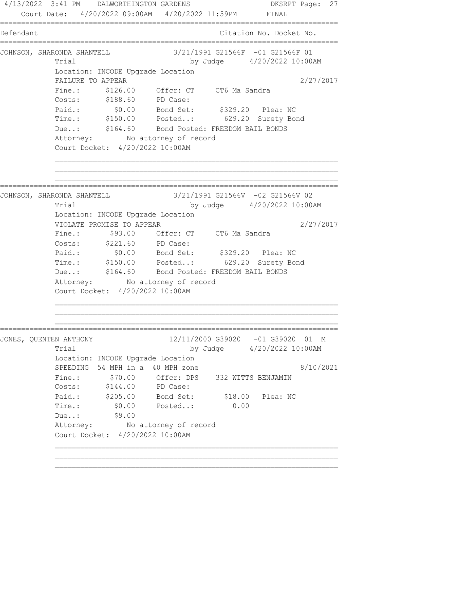4/13/2022 3:41 PM DALWORTHINGTON GARDENS DKSRPT Page: 27 Court Date: 4/20/2022 09:00AM 4/20/2022 11:59PM FINAL ================================================================================ Defendant Citation No. Docket No. ================================================================================ JOHNSON, SHARONDA SHANTELL 3/21/1991 G21566F -01 G21566F 01 Trial by Judge  $4/20/2022$  10:00AM Location: INCODE Upgrade Location FAILURE TO APPEAR 2/27/2017 Fine.: \$126.00 Offcr: CT CT6 Ma Sandra Costs: \$188.60 PD Case: Paid.: \$0.00 Bond Set: \$329.20 Plea: NC Time.: \$150.00 Posted..: 629.20 Surety Bond Due..: \$164.60 Bond Posted: FREEDOM BAIL BONDS Attorney: No attorney of record Court Docket: 4/20/2022 10:00AM ================================================================================ JOHNSON, SHARONDA SHANTELL 3/21/1991 G21566V -02 G21566V 02 Trial by Judge 4/20/2022 10:00AM Location: INCODE Upgrade Location VIOLATE PROMISE TO APPEAR 2/27/2017 Fine.: \$93.00 Offcr: CT CT6 Ma Sandra Costs: \$221.60 PD Case:<br>Paid.: \$0.00 Bond Set: Paid.: \$0.00 Bond Set: \$329.20 Plea: NC Time.: \$150.00 Posted..: 629.20 Surety Bond Due..:  $$164.60$  Bond Posted: FREEDOM BAIL BONDS Attorney: No attorney of record Court Docket: 4/20/2022 10:00AM ================================================================================ JONES, QUENTEN ANTHONY 12/11/2000 G39020 -01 G39020 01 M Trial by Judge 4/20/2022 10:00AM Location: INCODE Upgrade Location SPEEDING 54 MPH in a 40 MPH zone  $8/10/2021$  Fine.: \$70.00 Offcr: DPS 332 WITTS BENJAMIN Costs: \$144.00 PD Case: Paid.: \$205.00 Bond Set: \$18.00 Plea: NC Time.: \$0.00 Posted..: 0.00 Due..: \$9.00 Due..: \$9.00<br>Attorney: No attorney of record Court Docket: 4/20/2022 10:00AM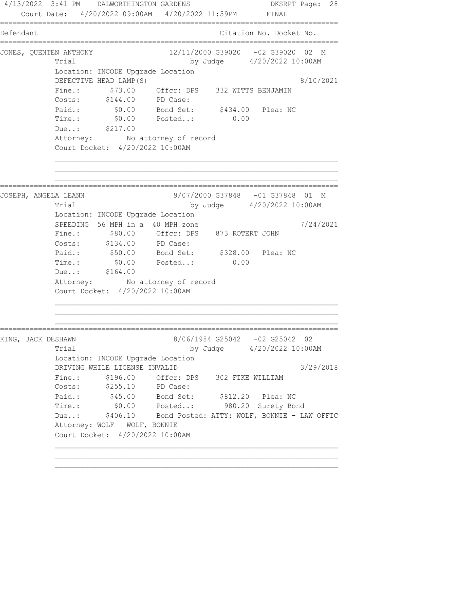4/13/2022 3:41 PM DALWORTHINGTON GARDENS DKSRPT Page: 28 Court Date: 4/20/2022 09:00AM 4/20/2022 11:59PM FINAL ================================================================================ Defendant Citation No. Docket No. ================================================================================ JONES, QUENTEN ANTHONY 12/11/2000 G39020 -02 G39020 02 M Trial by Judge  $4/20/2022$  10:00AM Location: INCODE Upgrade Location DEFECTIVE HEAD LAMP(S) 8/10/2021 Fine.: \$73.00 Offcr: DPS 332 WITTS BENJAMIN Costs: \$144.00 PD Case: Paid.: \$0.00 Bond Set: \$434.00 Plea: NC Time.: \$0.00 Posted..: 0.00 Due..: \$217.00 Attorney: No attorney of record Court Docket: 4/20/2022 10:00AM ================================================================================ JOSEPH, ANGELA LEANN 9/07/2000 G37848 -01 G37848 01 M Trial by Judge 4/20/2022 10:00AM Location: INCODE Upgrade Location SPEEDING 56 MPH in a 40 MPH zone  $7/24/2021$  Fine.: \$80.00 Offcr: DPS 873 ROTERT JOHN Costs: \$134.00 PD Case: Paid.: \$50.00 Bond Set: \$328.00 Plea: NC Time.:  $$0.00$  Posted..: 0.00 Due..: \$164.00 Attorney: No attorney of record Court Docket: 4/20/2022 10:00AM ================================================================================ KING, JACK DESHAWN 8/06/1984 G25042 -02 G25042 02 Trial by Judge 4/20/2022 10:00AM Location: INCODE Upgrade Location DRIVING WHILE LICENSE INVALID 3/29/2018 Fine.:  $$196.00$  Offcr: DPS 302 FIKE WILLIAM Costs: \$255.10 PD Case: Paid.: \$45.00 Bond Set: \$812.20 Plea: NC Time.: \$0.00 Posted..: 980.20 Surety Bond Due..: \$406.10 Bond Posted: ATTY: WOLF, BONNIE - LAW OFFIC Attorney: WOLF WOLF, BONNIE Court Docket: 4/20/2022 10:00AM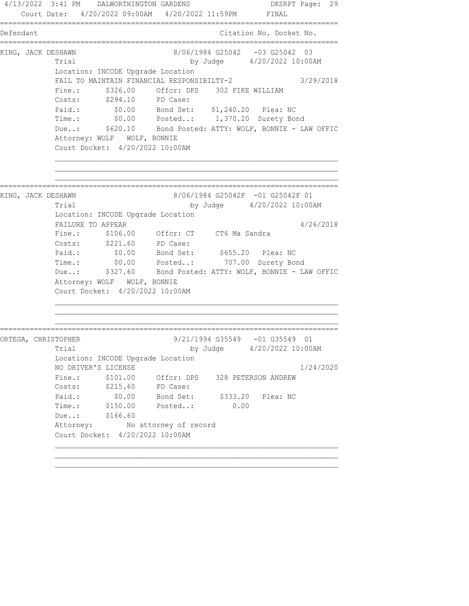4/13/2022 3:41 PM DALWORTHINGTON GARDENS DKSRPT Page: 29 Court Date: 4/20/2022 09:00AM 4/20/2022 11:59PM FINAL ================================================================================ Defendant Citation No. Docket No. ================================================================================ KING, JACK DESHAWN 8/06/1984 G25042 -03 G25042 03 Trial by Judge 4/20/2022 10:00AM Location: INCODE Upgrade Location FAIL TO MAINTAIN FINANCIAL RESPONSIBILTY-2 3/29/2018 Fine.:  $$326.00$  Offcr: DPS 302 FIKE WILLIAM Costs: \$294.10 PD Case: Paid.: \$0.00 Bond Set: \$1,240.20 Plea: NC Time.: \$0.00 Posted..: 1,370.20 Surety Bond Due..: \$620.10 Bond Posted: ATTY: WOLF, BONNIE - LAW OFFIC Attorney: WOLF WOLF, BONNIE Court Docket: 4/20/2022 10:00AM ================================================================================ KING, JACK DESHAWN 68 (06/1984 G25042F -01 G25042F 01 Trial by Judge 4/20/2022 10:00AM Location: INCODE Upgrade Location FAILURE TO APPEAR 4/26/2018 Fine.: \$106.00 Offcr: CT CT6 Ma Sandra Costs: \$221.60 PD Case: Paid.: \$0.00 Bond Set: \$655.20 Plea: NC Time.: \$0.00 Posted..: 707.00 Surety Bond Due..: \$327.60 Bond Posted: ATTY: WOLF, BONNIE - LAW OFFIC Attorney: WOLF WOLF, BONNIE Court Docket: 4/20/2022 10:00AM ================================================================================ ORTEGA, CHRISTOPHER 9/21/1994 G35549 -01 G35549 01 Trial by Judge 4/20/2022 10:00AM Location: INCODE Upgrade Location NO DRIVER'S LICENSE 1/24/2020 Fine.:  $$101.00$  Offcr: DPS 328 PETERSON ANDREW Costs: \$215.60 PD Case: Paid.: \$0.00 Bond Set: \$333.20 Plea: NC Time.: \$150.00 Posted..: 0.00 Due..: \$166.60 Attorney: No attorney of record Court Docket: 4/20/2022 10:00AM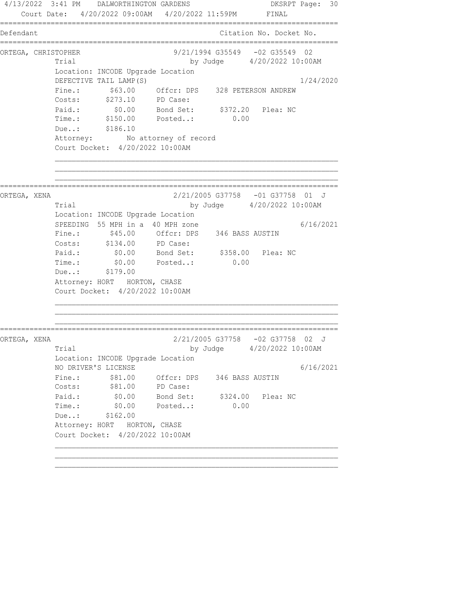4/13/2022 3:41 PM DALWORTHINGTON GARDENS DKSRPT Page: 30 Court Date: 4/20/2022 09:00AM 4/20/2022 11:59PM FINAL ================================================================================ Defendant Citation No. Docket No. ================================================================================ ORTEGA, CHRISTOPHER 9/21/1994 G35549 -02 G35549 02 Trial by Judge  $4/20/2022$  10:00AM Location: INCODE Upgrade Location<br>DEFECTIVE TAIL LAMP(S) DEFECTIVE TAIL LAMP(S) 1/24/2020 Fine.:  $$63.00$  Offcr: DPS 328 PETERSON ANDREW Costs: \$273.10 PD Case: Paid.: \$0.00 Bond Set: \$372.20 Plea: NC Time.: \$150.00 Posted..: 0.00 Due..: \$186.10 Attorney: No attorney of record Court Docket: 4/20/2022 10:00AM ================================================================================ ORTEGA, XENA 2/21/2005 G37758 -01 G37758 01 J Trial by Judge 4/20/2022 10:00AM Location: INCODE Upgrade Location SPEEDING 55 MPH in a 40 MPH zone  $6/16/2021$  Fine.: \$45.00 Offcr: DPS 346 BASS AUSTIN Costs: \$134.00 PD Case: Paid.: \$0.00 Bond Set: \$358.00 Plea: NC Paid.: \$0.00 Bond Set: \$358.00 Plea: NC<br>Time.: \$0.00 Posted..: 0.00 Due..: \$179.00 Attorney: HORT HORTON, CHASE Court Docket: 4/20/2022 10:00AM ================================================================================ ORTEGA, XENA 2/21/2005 G37758 -02 G37758 02 J Trial by Judge  $4/20/2022$  10:00AM Location: INCODE Upgrade Location NO DRIVER'S LICENSE 6/16/2021 Fine.: \$81.00 Offcr: DPS 346 BASS AUSTIN Costs:  $$81.00$  PD Case: Paid.: \$0.00 Bond Set: \$324.00 Plea: NC Time.: \$0.00 Posted..: 0.00 Due..: \$162.00 Attorney: HORT HORTON, CHASE Court Docket: 4/20/2022 10:00AM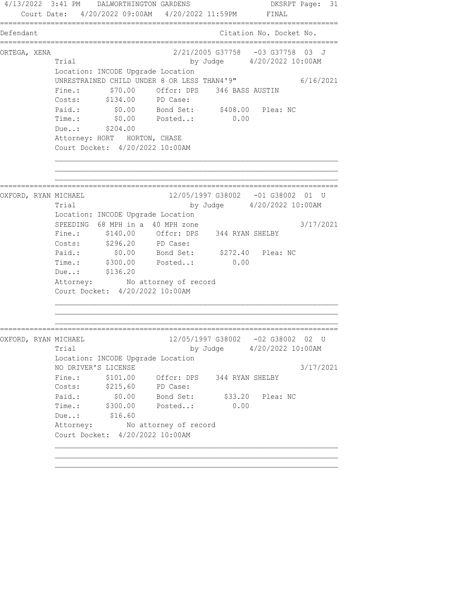4/13/2022 3:41 PM DALWORTHINGTON GARDENS DKSRPT Page: 31 Court Date: 4/20/2022 09:00AM 4/20/2022 11:59PM FINAL ================================================================================ Defendant Citation No. Docket No. ================================================================================ ORTEGA, XENA 2/21/2005 G37758 -03 G37758 03 J Trial by Judge 4/20/2022 10:00AM Location: INCODE Upgrade Location UNRESTRAINED CHILD UNDER 8 OR LESS THAN4'9" 6/16/2021 Fine.: \$70.00 Offcr: DPS 346 BASS AUSTIN Costs: \$134.00 PD Case: Paid.: \$0.00 Bond Set: \$408.00 Plea: NC Time.: \$0.00 Posted..: 0.00 Due..: \$204.00 Attorney: HORT HORTON, CHASE Court Docket: 4/20/2022 10:00AM ================================================================================ OXFORD, RYAN MICHAEL 12/05/1997 G38002 -01 G38002 01 U Trial by Judge 4/20/2022 10:00AM Location: INCODE Upgrade Location SPEEDING 68 MPH in a 40 MPH zone  $3/17/2021$  Fine.: \$140.00 Offcr: DPS 344 RYAN SHELBY Costs: \$296.20 PD Case: Paid.: \$0.00 Bond Set: \$272.40 Plea: NC Time.: \$300.00 Posted..: 0.00 Due..: \$136.20 Attorney: No attorney of record Court Docket: 4/20/2022 10:00AM ================================================================================ OXFORD, RYAN MICHAEL 12/05/1997 G38002 -02 G38002 02 U Trial by Judge 4/20/2022 10:00AM Location: INCODE Upgrade Location NO DRIVER'S LICENSE 3/17/2021 Fine.:  $$101.00$  Offcr: DPS 344 RYAN SHELBY Costs: \$215.60 PD Case: Paid.: \$0.00 Bond Set: \$33.20 Plea: NC Time.: \$300.00 Posted..: 0.00 Due..: \$16.60 Attorney: No attorney of record Court Docket: 4/20/2022 10:00AM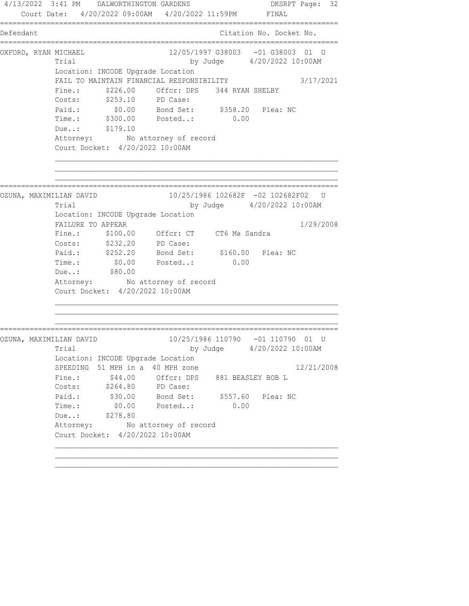4/13/2022 3:41 PM DALWORTHINGTON GARDENS DKSRPT Page: 32 Court Date: 4/20/2022 09:00AM 4/20/2022 11:59PM FINAL ================================================================================ Defendant Citation No. Docket No. ================================================================================ OXFORD, RYAN MICHAEL 22/05/1997 G38003 -01 G38003 01 U Trial by Judge 4/20/2022 10:00AM Location: INCODE Upgrade Location FAIL TO MAINTAIN FINANCIAL RESPONSIBILITY 3/17/2021 Fine.:  $$226.00$  Offcr: DPS 344 RYAN SHELBY Costs: \$253.10 PD Case: Paid.: \$0.00 Bond Set: \$358.20 Plea: NC Time.: \$300.00 Posted..: 0.00 Due..: \$179.10 Attorney: No attorney of record Court Docket: 4/20/2022 10:00AM ================================================================================ OZUNA, MAXIMILIAN DAVID 10/25/1986 102682F -02 102682F02 U Trial by Judge 4/20/2022 10:00AM Location: INCODE Upgrade Location FAILURE TO APPEAR 1/29/2008 Fine.: \$100.00 Offcr: CT CT6 Ma Sandra Costs: \$232.20 PD Case: Paid.: \$252.20 Bond Set: \$160.00 Plea: NC Time.:  $$0.00$  Posted..: 0.00 90.00<br>Due..: \$80.00 Attorney: No attorney of record Court Docket: 4/20/2022 10:00AM ================================================================================ OZUNA, MAXIMILIAN DAVID 10/25/1986 110790 -01 110790 01 U Trial by Judge 4/20/2022 10:00AM Location: INCODE Upgrade Location SPEEDING 51 MPH in a 40 MPH zone 12/21/2008 Fine.:  $$44.00$  Offcr: DPS 881 BEASLEY BOB L vii.00 Offer: DP:<br>Costs: \$264.80 PD Case:<br>Paid.: \$30.00 PD Case:<br>Time . Paid.: \$30.00 Bond Set: \$557.60 Plea: NC Time.: \$0.00 Posted..: 0.00 Due..: \$278.80 Attorney: No attorney of record Court Docket: 4/20/2022 10:00AM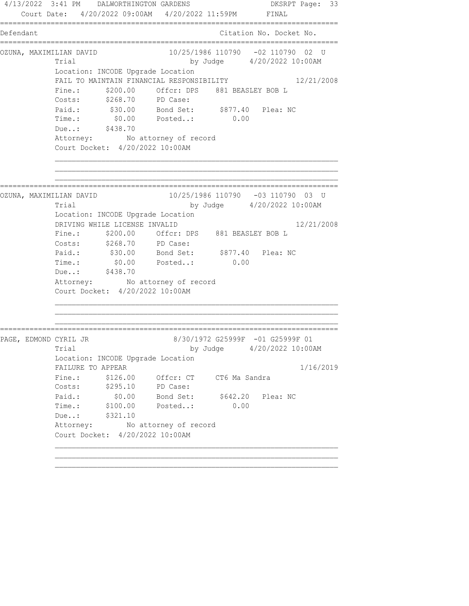4/13/2022 3:41 PM DALWORTHINGTON GARDENS DKSRPT Page: 33 Court Date: 4/20/2022 09:00AM 4/20/2022 11:59PM FINAL ================================================================================ Defendant Citation No. Docket No. ================================================================================ OZUNA, MAXIMILIAN DAVID 10/25/1986 110790 -02 110790 02 U Trial by Judge  $4/20/2022$  10:00AM Location: INCODE Upgrade Location FAIL TO MAINTAIN FINANCIAL RESPONSIBILITY 12/21/2008 Fine.: \$200.00 Offcr: DPS 881 BEASLEY BOB L Costs: \$268.70 PD Case: Paid.: \$30.00 Bond Set: \$877.40 Plea: NC Time.: \$0.00 Posted..: 0.00 Due..: \$438.70 Attorney: No attorney of record Court Docket: 4/20/2022 10:00AM ================================================================================ OZUNA, MAXIMILIAN DAVID 10/25/1986 110790 -03 110790 03 U Trial by Judge 4/20/2022 10:00AM Location: INCODE Upgrade Location DRIVING WHILE LICENSE INVALID 12/21/2008 Fine.: \$200.00 Offcr: DPS 881 BEASLEY BOB L Costs: \$268.70 PD Case: Paid.: \$30.00 Bond Set: \$877.40 Plea: NC Paid.: \$30.00 Bond Set: \$877.40<br>Time.: \$0.00 Posted..: 0.00 Due..: \$438.70 Attorney: No attorney of record Court Docket: 4/20/2022 10:00AM ================================================================================ PAGE, EDMOND CYRIL JR 8/30/1972 G25999F -01 G25999F 01 Trial by Judge  $4/20/2022$  10:00AM Location: INCODE Upgrade Location FAILURE TO APPEAR 1/16/2019 Fine.: \$126.00 Offcr: CT CT6 Ma Sandra Costs: \$295.10 PD Case: Paid.: \$0.00 Bond Set: \$642.20 Plea: NC Time.: \$100.00 Posted..: 0.00 Due..: \$321.10 Attorney: No attorney of record Court Docket: 4/20/2022 10:00AM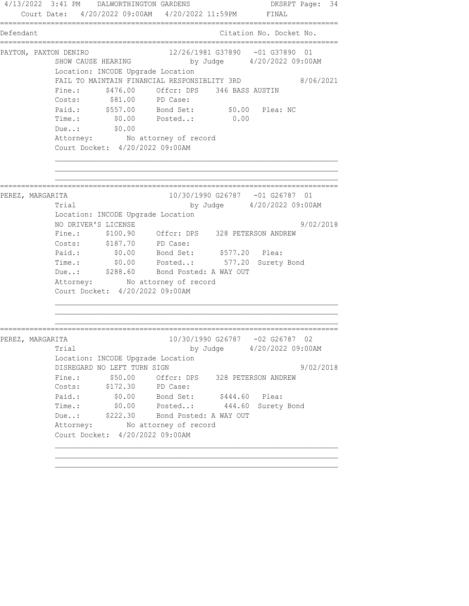4/13/2022 3:41 PM DALWORTHINGTON GARDENS DKSRPT Page: 34 Court Date: 4/20/2022 09:00AM 4/20/2022 11:59PM FINAL ================================================================================ Defendant Citation No. Docket No. ================================================================================ PAYTON, PAXTON DENIRO 12/26/1981 G37890 -01 G37890 01 SHOW CAUSE HEARING by Judge 4/20/2022 09:00AM Location: INCODE Upgrade Location FAIL TO MAINTAIN FINANCIAL RESPONSIBLITY 3RD 8/06/2021 Fine.:  $$476.00$  Offcr: DPS 346 BASS AUSTIN Costs: \$81.00 PD Case: Paid.: \$557.00 Bond Set: \$0.00 Plea: NC Time.: \$0.00 Posted..: 0.00 Due..: \$0.00 Attorney: No attorney of record Court Docket: 4/20/2022 09:00AM ================================================================================ PEREZ, MARGARITA 10/30/1990 G26787 -01 G26787 01 Trial by Judge 4/20/2022 09:00AM Location: INCODE Upgrade Location NO DRIVER'S LICENSE 9/02/2018 Fine.: \$100.90 Offcr: DPS 328 PETERSON ANDREW Costs: \$187.70 PD Case: Paid.: \$0.00 Bond Set: \$577.20 Plea: Time.: \$0.00 Posted..: 577.20 Surety Bond Due..: \$288.60 Bond Posted: A WAY OUT Attorney: No attorney of record Court Docket: 4/20/2022 09:00AM ================================================================================ PEREZ, MARGARITA 10/30/1990 G26787 -02 G26787 02 Trial by Judge 4/20/2022 09:00AM Location: INCODE Upgrade Location DISREGARD NO LEFT TURN SIGN 9/02/2018 Fine.:  $$50.00$  Offcr: DPS 328 PETERSON ANDREW Costs: \$172.30 PD Case: Paid.: \$0.00 Bond Set: \$444.60 Plea: Time.: \$0.00 Posted..: 444.60 Surety Bond Due..:  $$222.30$  Bond Posted: A WAY OUT Attorney: No attorney of record Court Docket: 4/20/2022 09:00AM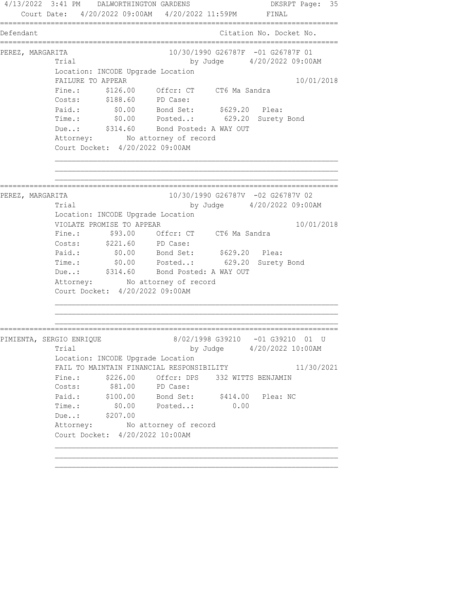4/13/2022 3:41 PM DALWORTHINGTON GARDENS DKSRPT Page: 35 Court Date: 4/20/2022 09:00AM 4/20/2022 11:59PM FINAL ================================================================================ Defendant Citation No. Docket No. ================================================================================ PEREZ, MARGARITA 10/30/1990 G26787F -01 G26787F 01 Trial by Judge  $4/20/2022$  09:00AM Location: INCODE Upgrade Location FAILURE TO APPEAR 10/01/2018 Fine.: \$126.00 Offcr: CT CT6 Ma Sandra Costs: \$188.60 PD Case: Paid.: \$0.00 Bond Set: \$629.20 Plea: Time.: \$0.00 Posted..: 629.20 Surety Bond Due..:  $$314.60$  Bond Posted: A WAY OUT Attorney: No attorney of record Court Docket: 4/20/2022 09:00AM ================================================================================ PEREZ, MARGARITA 10/30/1990 G26787V -02 G26787V 02 Trial by Judge 4/20/2022 09:00AM Location: INCODE Upgrade Location VIOLATE PROMISE TO APPEAR 10/01/2018 Fine.:  $$93.00$  Offcr: CT CT6 Ma Sandra Costs: \$221.60 PD Case: Paid.: \$0.00 Bond Set: \$629.20 Plea: Time.: \$0.00 Posted..: 629.20 Surety Bond Due..: \$314.60 Bond Posted: A WAY OUT Attorney: No attorney of record Court Docket: 4/20/2022 09:00AM ================================================================================ PIMIENTA, SERGIO ENRIQUE 8/02/1998 G39210 -01 G39210 01 U Trial by Judge 4/20/2022 10:00AM Location: INCODE Upgrade Location FAIL TO MAINTAIN FINANCIAL RESPONSIBILITY 11/30/2021 Fine.: \$226.00 Offcr: DPS 332 WITTS BENJAMIN Costs:  $$81.00$  PD Case: Paid.: \$100.00 Bond Set: \$414.00 Plea: NC Time.: \$0.00 Posted..: 0.00 Due..: \$207.00 Attorney: No attorney of record Court Docket: 4/20/2022 10:00AM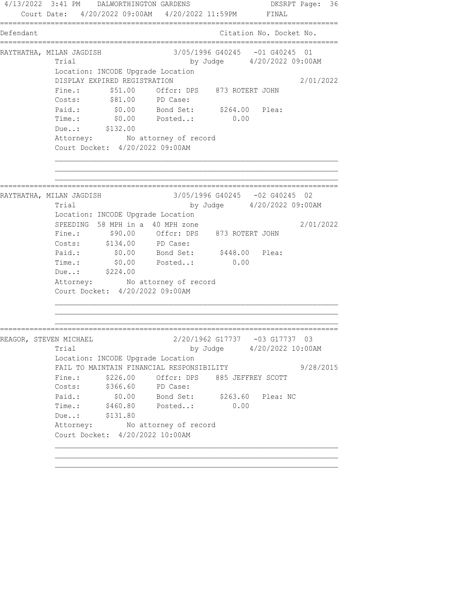4/13/2022 3:41 PM DALWORTHINGTON GARDENS DKSRPT Page: 36 Court Date: 4/20/2022 09:00AM 4/20/2022 11:59PM FINAL ================================================================================ Defendant Citation No. Docket No. ================================================================================ RAYTHATHA, MILAN JAGDISH 3/05/1996 G40245 -01 G40245 01 Trial by Judge 4/20/2022 09:00AM Location: INCODE Upgrade Location DISPLAY EXPIRED REGISTRATION 2/01/2022 Fine.:  $$51.00$  Offcr: DPS 873 ROTERT JOHN Costs:  $$81.00$  PD Case: Paid.: \$0.00 Bond Set: \$264.00 Plea: Time.: \$0.00 Posted..: 0.00 Due..: \$132.00 Attorney: No attorney of record Court Docket: 4/20/2022 09:00AM ================================================================================ RAYTHATHA, MILAN JAGDISH 3/05/1996 G40245 -02 G40245 02 Trial by Judge 4/20/2022 09:00AM Location: INCODE Upgrade Location SPEEDING 58 MPH in a 40 MPH zone 2/01/2022 Fine.: \$90.00 Offcr: DPS 873 ROTERT JOHN Costs: \$134.00 PD Case: Paid.: \$0.00 Bond Set: \$448.00 Plea: Time.:  $$0.00$  Posted..: 0.00 Due..: \$224.00 Attorney: No attorney of record Court Docket: 4/20/2022 09:00AM ================================================================================ REAGOR, STEVEN MICHAEL 2/20/1962 G17737 -03 G17737 03 Trial by Judge 4/20/2022 10:00AM Location: INCODE Upgrade Location FAIL TO MAINTAIN FINANCIAL RESPONSIBILITY 9/28/2015 Fine.:  $$226.00$  Offcr: DPS 885 JEFFREY SCOTT Costs: \$366.60 PD Case: Paid.: \$0.00 Bond Set: \$263.60 Plea: NC Time.: \$460.80 Posted..: 0.00 Due..: \$131.80 Attorney: No attorney of record Court Docket: 4/20/2022 10:00AM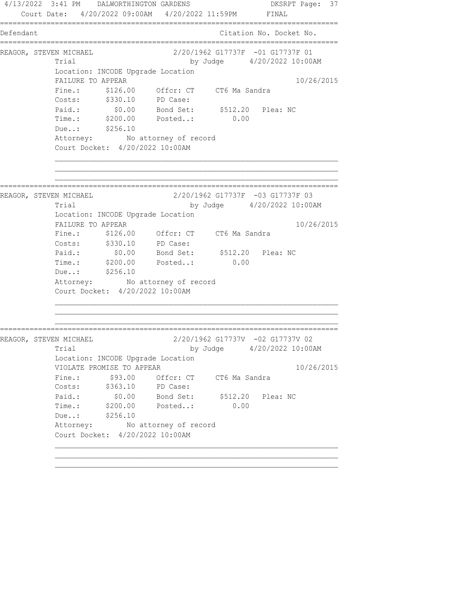4/13/2022 3:41 PM DALWORTHINGTON GARDENS DKSRPT Page: 37 Court Date: 4/20/2022 09:00AM 4/20/2022 11:59PM FINAL ================================================================================ Defendant Citation No. Docket No. ================================================================================ REAGOR, STEVEN MICHAEL 2/20/1962 G17737F -01 G17737F 01 Trial by Judge  $4/20/2022$  10:00AM Location: INCODE Upgrade Location FAILURE TO APPEAR 10/26/2015 Fine.: \$126.00 Offcr: CT CT6 Ma Sandra Costs: \$330.10 PD Case: Paid.: \$0.00 Bond Set: \$512.20 Plea: NC Time.: \$200.00 Posted..: 0.00 Due..: \$256.10 Attorney: No attorney of record Court Docket: 4/20/2022 10:00AM ================================================================================ REAGOR, STEVEN MICHAEL 2/20/1962 G17737F -03 G17737F 03 Trial by Judge 4/20/2022 10:00AM Location: INCODE Upgrade Location FAILURE TO APPEAR 10/26/2015 Fine.: \$126.00 Offcr: CT CT6 Ma Sandra Costs: \$330.10 PD Case: Paid.: \$0.00 Bond Set: \$512.20 Plea: NC Time.: \$200.00 Posted..: 0.00 Due..: \$256.10 Attorney: No attorney of record Court Docket: 4/20/2022 10:00AM ================================================================================ REAGOR, STEVEN MICHAEL 2/20/1962 G17737V -02 G17737V 02 Trial by Judge 4/20/2022 10:00AM Location: INCODE Upgrade Location VIOLATE PROMISE TO APPEAR 10/26/2015 Fine.:  $$93.00$  Offcr: CT CT6 Ma Sandra Costs: \$363.10 PD Case: Paid.: \$0.00 Bond Set: \$512.20 Plea: NC Time.: \$200.00 Posted..: 0.00 Due..: \$256.10 Attorney: No attorney of record Court Docket: 4/20/2022 10:00AM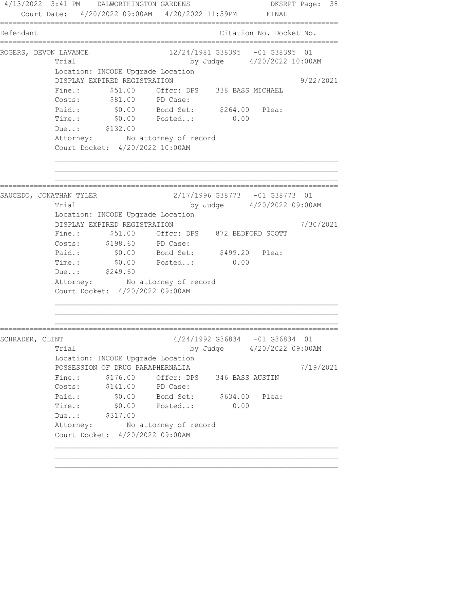4/13/2022 3:41 PM DALWORTHINGTON GARDENS DKSRPT Page: 38 Court Date: 4/20/2022 09:00AM 4/20/2022 11:59PM FINAL ================================================================================ Defendant Citation No. Docket No. ================================================================================ ROGERS, DEVON LAVANCE 12/24/1981 G38395 -01 G38395 01 Trial by Judge  $4/20/2022$  10:00AM Location: INCODE Upgrade Location DISPLAY EXPIRED REGISTRATION 9/22/2021 Fine.:  $$51.00$  Offcr: DPS 338 BASS MICHAEL Costs:  $$81.00$  PD Case: Paid.: \$0.00 Bond Set: \$264.00 Plea: Time.: \$0.00 Posted..: 0.00 Due..: \$132.00 Attorney: No attorney of record Court Docket: 4/20/2022 10:00AM ================================================================================ SAUCEDO, JONATHAN TYLER 2/17/1996 G38773 -01 G38773 01 Trial by Judge 4/20/2022 09:00AM Location: INCODE Upgrade Location DISPLAY EXPIRED REGISTRATION 7/30/2021 Fine.: \$51.00 Offcr: DPS 872 BEDFORD SCOTT Costs: \$198.60 PD Case: Paid.: \$0.00 Bond Set: \$499.20 Plea: Time.:  $$0.00$  Posted..: 0.00 Due..: \$249.60 Attorney: No attorney of record Court Docket: 4/20/2022 09:00AM ================================================================================ SCHRADER, CLINT 4/24/1992 G36834 -01 G36834 01 Trial by Judge 4/20/2022 09:00AM Location: INCODE Upgrade Location POSSESSION OF DRUG PARAPHERNALIA 7/19/2021 Fine.:  $$176.00$  Offcr: DPS 346 BASS AUSTIN Costs: \$141.00 PD Case: Paid.: \$0.00 Bond Set: \$634.00 Plea: Time.: \$0.00 Posted..: 0.00 Due..: \$317.00 Attorney: No attorney of record Court Docket: 4/20/2022 09:00AM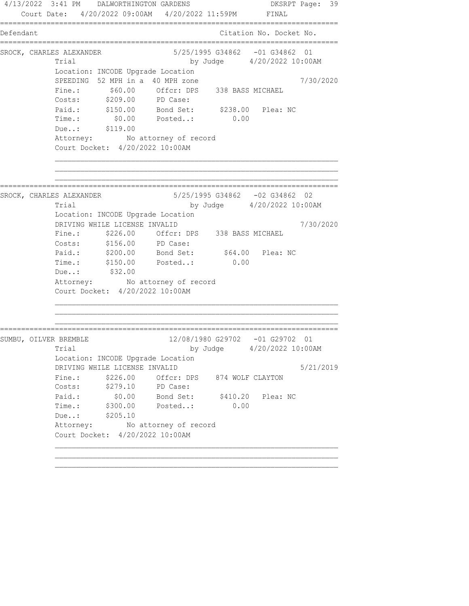4/13/2022 3:41 PM DALWORTHINGTON GARDENS DKSRPT Page: 39 Court Date: 4/20/2022 09:00AM 4/20/2022 11:59PM FINAL ================================================================================ Defendant Citation No. Docket No. ================================================================================ SROCK, CHARLES ALEXANDER 5/25/1995 G34862 -01 G34862 01 Trial by Judge 4/20/2022 10:00AM Location: INCODE Upgrade Location SPEEDING 52 MPH in a 40 MPH zone  $7/30/2020$  Fine.: \$60.00 Offcr: DPS 338 BASS MICHAEL Costs: \$209.00 PD Case: Paid.: \$150.00 Bond Set: \$238.00 Plea: NC Time.: \$0.00 Posted..: 0.00 Due..: \$119.00 Attorney: No attorney of record Court Docket: 4/20/2022 10:00AM ================================================================================ SROCK, CHARLES ALEXANDER 5/25/1995 G34862 -02 G34862 02 Trial by Judge 4/20/2022 10:00AM Location: INCODE Upgrade Location DRIVING WHILE LICENSE INVALID 7/30/2020 Fine.: \$226.00 Offcr: DPS 338 BASS MICHAEL Costs: \$156.00 PD Case: Paid.: \$200.00 Bond Set: \$64.00 Plea: NC Time.: \$150.00 Posted..: 0.00 Due..: \$32.00 Attorney: No attorney of record Court Docket: 4/20/2022 10:00AM ================================================================================ SUMBU, OILVER BREMBLE 12/08/1980 G29702 -01 G29702 01 Trial by Judge 4/20/2022 10:00AM Location: INCODE Upgrade Location DRIVING WHILE LICENSE INVALID 5/21/2019 Fine.: \$226.00 Offcr: DPS 874 WOLF CLAYTON Costs: \$279.10 PD Case: Paid.: \$0.00 Bond Set: \$410.20 Plea: NC Time.: \$300.00 Posted..: 0.00 Due..: \$205.10 Attorney: No attorney of record Court Docket: 4/20/2022 10:00AM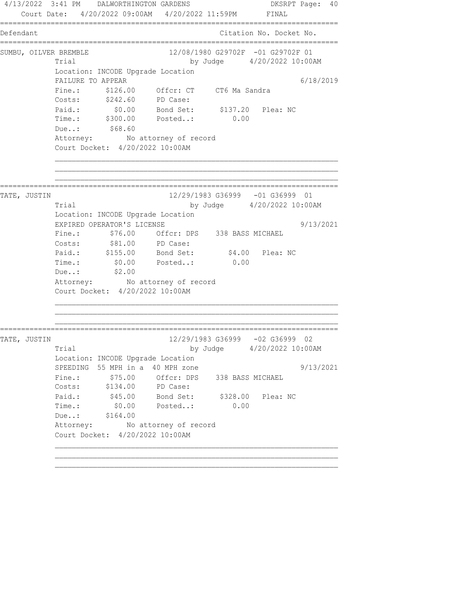4/13/2022 3:41 PM DALWORTHINGTON GARDENS DKSRPT Page: 40 Court Date: 4/20/2022 09:00AM 4/20/2022 11:59PM FINAL ================================================================================ Defendant Citation No. Docket No. ================================================================================ SUMBU, OILVER BREMBLE 12/08/1980 G29702F -01 G29702F 01 Trial by Judge  $4/20/2022$  10:00AM Location: INCODE Upgrade Location FAILURE TO APPEAR 6/18/2019 Fine.: \$126.00 Offcr: CT CT6 Ma Sandra Costs: \$242.60 PD Case: Paid.: \$0.00 Bond Set: \$137.20 Plea: NC Time.: \$300.00 Posted..: 0.00 Due..: \$68.60 Attorney: No attorney of record Court Docket: 4/20/2022 10:00AM ================================================================================ TATE, JUSTIN 12/29/1983 G36999 -01 G36999 01 Trial by Judge 4/20/2022 10:00AM Location: INCODE Upgrade Location EXPIRED OPERATOR'S LICENSE 19913/2021 Fine.: \$76.00 Offcr: DPS 338 BASS MICHAEL Costs:  $$81.00$  PD Case: Paid.: \$155.00 Bond Set: \$4.00 Plea: NC Time.:  $$0.00$  Posted..: 0.00 Due..: \$2.00 Due..: \$2.00<br>Attorney: No attorney of record Court Docket: 4/20/2022 10:00AM ================================================================================ TATE, JUSTIN 12/29/1983 G36999 -02 G36999 02 Trial by Judge 4/20/2022 10:00AM Location: INCODE Upgrade Location SPEEDING 55 MPH in a 40 MPH zone  $9/13/2021$ Fine.: \$75.00 Offcr: DPS 338 BASS MICHAEL v. 0.00 Offer: DP:<br>Costs: \$134.00 PD Case:<br>Paid.: \$45.00 PD Case: Paid.: \$45.00 Bond Set: \$328.00 Plea: NC Time.: \$0.00 Posted..: 0.00 Due..: \$164.00 Attorney: No attorney of record Court Docket: 4/20/2022 10:00AM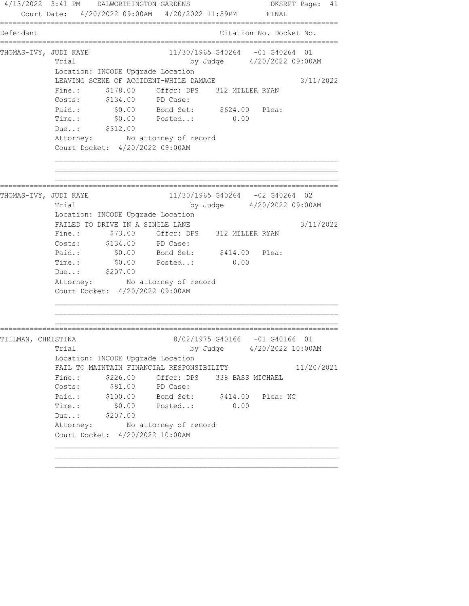4/13/2022 3:41 PM DALWORTHINGTON GARDENS DKSRPT Page: 41 Court Date: 4/20/2022 09:00AM 4/20/2022 11:59PM FINAL ================================================================================ Defendant Citation No. Docket No. ================================================================================ THOMAS-IVY, JUDI KAYE 11/30/1965 G40264 -01 G40264 01 Trial by Judge 4/20/2022 09:00AM Location: INCODE Upgrade Location LEAVING SCENE OF ACCIDENT-WHILE DAMAGE 3/11/2022 Fine.: \$178.00 Offcr: DPS 312 MILLER RYAN Costs: \$134.00 PD Case: Paid.: \$0.00 Bond Set: \$624.00 Plea: Time.: \$0.00 Posted..: 0.00 Due..: \$312.00 Attorney: No attorney of record Court Docket: 4/20/2022 09:00AM ================================================================================ THOMAS-IVY, JUDI KAYE 11/30/1965 G40264 -02 G40264 02 Trial by Judge 4/20/2022 09:00AM Location: INCODE Upgrade Location FAILED TO DRIVE IN A SINGLE LANE  $3/11/2022$  Fine.: \$73.00 Offcr: DPS 312 MILLER RYAN Costs: \$134.00 PD Case: Paid.: \$0.00 Bond Set: \$414.00 Plea: Time.:  $$0.00$  Posted..: 0.00 Due..: \$207.00 Attorney: No attorney of record Court Docket: 4/20/2022 09:00AM ================================================================================ TILLMAN, CHRISTINA 8/02/1975 G40166 -01 G40166 01 Trial by Judge 4/20/2022 10:00AM Location: INCODE Upgrade Location FAIL TO MAINTAIN FINANCIAL RESPONSIBILITY 11/20/2021 Fine.: \$226.00 Offcr: DPS 338 BASS MICHAEL Costs:  $$81.00$  PD Case: Paid.: \$100.00 Bond Set: \$414.00 Plea: NC Time.: \$0.00 Posted..: 0.00 Due..: \$207.00 Attorney: No attorney of record Court Docket: 4/20/2022 10:00AM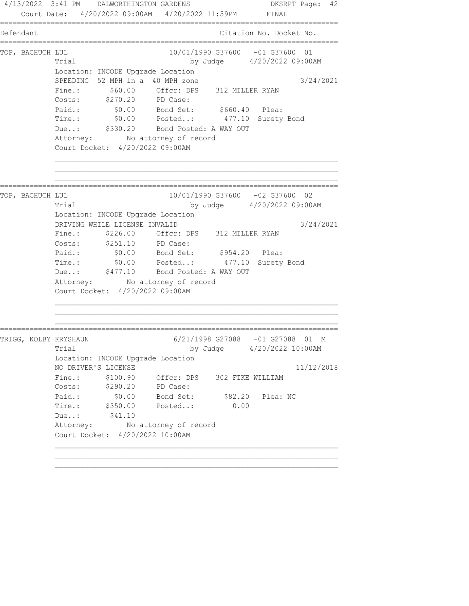4/13/2022 3:41 PM DALWORTHINGTON GARDENS DKSRPT Page: 42 Court Date: 4/20/2022 09:00AM 4/20/2022 11:59PM FINAL ================================================================================ Defendant Citation No. Docket No. ================================================================================ TOP, BACHUCH LUL 10/01/1990 G37600 -01 G37600 01 Trial by Judge 4/20/2022 09:00AM Location: INCODE Upgrade Location SPEEDING 52 MPH in a 40 MPH zone 3/24/2021 Fine.:  $$60.00$  Offcr: DPS 312 MILLER RYAN Costs: \$270.20 PD Case: Paid.: \$0.00 Bond Set: \$660.40 Plea: Time.: \$0.00 Posted..: 477.10 Surety Bond Due..: \$330.20 Bond Posted: A WAY OUT Attorney: No attorney of record Court Docket: 4/20/2022 09:00AM ================================================================================ TOP, BACHUCH LUL 10/01/1990 G37600 -02 G37600 02 Trial by Judge 4/20/2022 09:00AM Location: INCODE Upgrade Location DRIVING WHILE LICENSE INVALID 3/24/2021 Fine.: \$226.00 Offcr: DPS 312 MILLER RYAN Costs: \$251.10 PD Case: Paid.:  $$0.00$  Bond Set:  $$954.20$  Plea: Time.: \$0.00 Posted..: 477.10 Surety Bond Due..: \$477.10 Bond Posted: A WAY OUT Attorney: No attorney of record Court Docket: 4/20/2022 09:00AM ================================================================================ TRIGG, KOLBY KRYSHAUN 6/21/1998 G27088 -01 G27088 01 M Trial by Judge  $4/20/2022$  10:00AM Location: INCODE Upgrade Location NO DRIVER'S LICENSE 11/12/2018 Fine.:  $$100.90$  Offcr: DPS 302 FIKE WILLIAM Costs: \$290.20 PD Case: Paid.: \$0.00 Bond Set: \$82.20 Plea: NC Time.: \$350.00 Posted..: 0.00 Due..: \$41.10 Attorney: No attorney of record Court Docket: 4/20/2022 10:00AM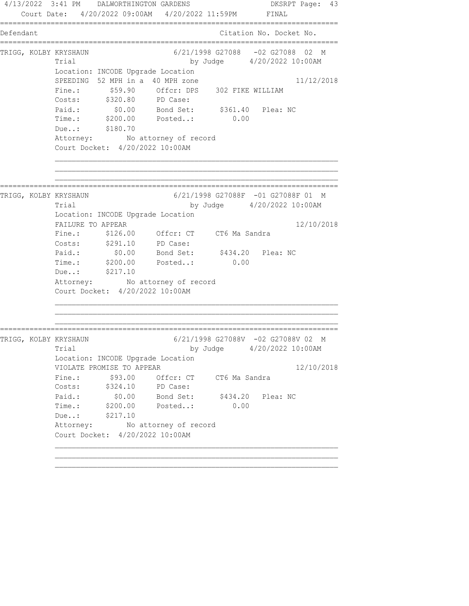4/13/2022 3:41 PM DALWORTHINGTON GARDENS DKSRPT Page: 43 Court Date: 4/20/2022 09:00AM 4/20/2022 11:59PM FINAL ================================================================================ Defendant Citation No. Docket No. ================================================================================ TRIGG, KOLBY KRYSHAUN 6/21/1998 G27088 -02 G27088 02 M Trial by Judge  $4/20/2022$  10:00AM Location: INCODE Upgrade Location SPEEDING 52 MPH in a 40 MPH zone 11/12/2018 Fine.: \$59.90 Offcr: DPS 302 FIKE WILLIAM Costs: \$320.80 PD Case: Paid.: \$0.00 Bond Set: \$361.40 Plea: NC Time.: \$200.00 Posted..: 0.00 Due..: \$180.70 Attorney: No attorney of record Court Docket: 4/20/2022 10:00AM ================================================================================ TRIGG, KOLBY KRYSHAUN 6/21/1998 G27088F -01 G27088F 01 M Trial by Judge 4/20/2022 10:00AM Location: INCODE Upgrade Location FAILURE TO APPEAR 12/10/2018 Fine.: \$126.00 Offcr: CT CT6 Ma Sandra Costs: \$291.10 PD Case: Paid.: \$0.00 Bond Set: \$434.20 Plea: NC Time.:  $\frac{1}{200.00}$  Posted..: 0.00 Due..: \$217.10 Attorney: No attorney of record Court Docket: 4/20/2022 10:00AM ================================================================================ TRIGG, KOLBY KRYSHAUN 6/21/1998 G27088V -02 G27088V 02 M Trial by Judge  $4/20/2022$  10:00AM Location: INCODE Upgrade Location VIOLATE PROMISE TO APPEAR 12/10/2018 Fine.:  $$93.00$  Offcr: CT CT6 Ma Sandra Costs: \$324.10 PD Case: Paid.: \$0.00 Bond Set: \$434.20 Plea: NC Time.: \$200.00 Posted..: 0.00 Due..: \$217.10 Attorney: No attorney of record Court Docket: 4/20/2022 10:00AM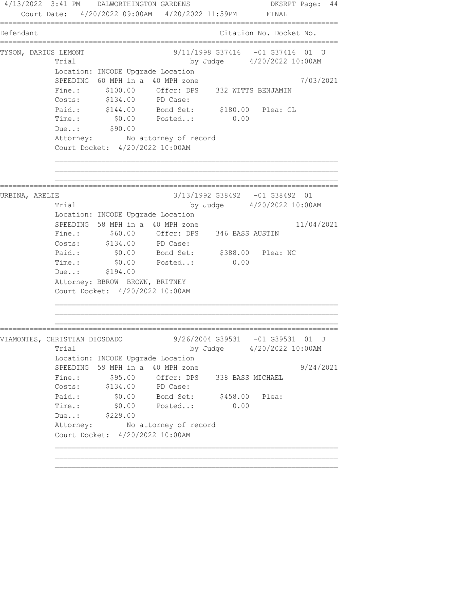4/13/2022 3:41 PM DALWORTHINGTON GARDENS DKSRPT Page: 44 Court Date: 4/20/2022 09:00AM 4/20/2022 11:59PM FINAL ================================================================================ Defendant Citation No. Docket No. ================================================================================ TYSON, DARIUS LEMONT 9/11/1998 G37416 -01 G37416 01 U Trial by Judge 4/20/2022 10:00AM Location: INCODE Upgrade Location SPEEDING 60 MPH in a 40 MPH zone 7/03/2021 Fine.: \$100.00 Offcr: DPS 332 WITTS BENJAMIN Costs: \$134.00 PD Case: Paid.: \$144.00 Bond Set: \$180.00 Plea: GL Time.: \$0.00 Posted..: 0.00 Due..: \$90.00 Attorney: No attorney of record Court Docket: 4/20/2022 10:00AM ================================================================================ URBINA, ARELIE 3/13/1992 G38492 -01 G38492 01 Trial by Judge 4/20/2022 10:00AM Location: INCODE Upgrade Location SPEEDING 58 MPH in a 40 MPH zone  $11/04/2021$  Fine.: \$60.00 Offcr: DPS 346 BASS AUSTIN Costs: \$134.00 PD Case: Paid.: \$0.00 Bond Set: \$388.00 Plea: NC Paid.: \$0.00 Bond Set: \$388.00 Plea: NC<br>Time.: \$0.00 Posted..: 0.00 Due..: \$194.00 Attorney: BBROW BROWN, BRITNEY Court Docket: 4/20/2022 10:00AM ================================================================================ VIAMONTES, CHRISTIAN DIOSDADO 9/26/2004 G39531 -01 G39531 01 J Trial by Judge 4/20/2022 10:00AM Location: INCODE Upgrade Location SPEEDING 59 MPH in a 40 MPH zone  $9/24/2021$ Fine.:  $$95.00$  Offcr: DPS 338 BASS MICHAEL Costs: \$134.00 PD Case: Paid.: \$0.00 Bond Set: \$458.00 Plea: Time.: \$0.00 Posted..: 0.00 Due..: \$229.00 Attorney: No attorney of record Court Docket: 4/20/2022 10:00AM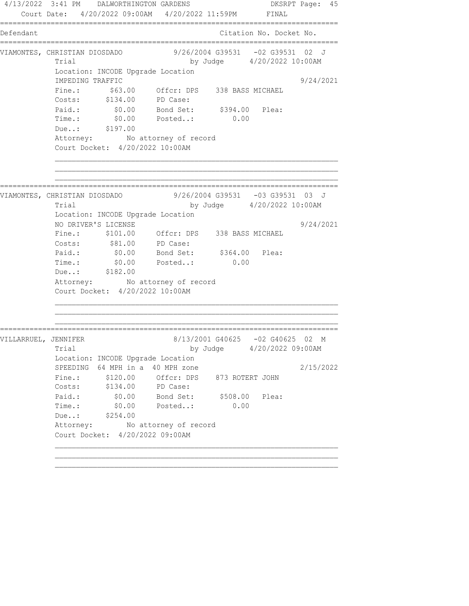4/13/2022 3:41 PM DALWORTHINGTON GARDENS DKSRPT Page: 45 Court Date: 4/20/2022 09:00AM 4/20/2022 11:59PM FINAL ================================================================================ Defendant Citation No. Docket No. ================================================================================ VIAMONTES, CHRISTIAN DIOSDADO 9/26/2004 G39531 -02 G39531 02 J Trial by Judge  $4/20/2022$  10:00AM Location: INCODE Upgrade Location IMPEDING TRAFFIC 9/24/2021 Fine.: \$63.00 Offcr: DPS 338 BASS MICHAEL Costs: \$134.00 PD Case: Paid.: \$0.00 Bond Set: \$394.00 Plea: Time.: \$0.00 Posted..: 0.00 Due..: \$197.00 Attorney: No attorney of record Court Docket: 4/20/2022 10:00AM ================================================================================ ---------<br>VIAMONTES, CHRISTIAN DIOSDADO 9/26/2004 G39531 -03 G39531 03 J Trial by Judge 4/20/2022 10:00AM Location: INCODE Upgrade Location NO DRIVER'S LICENSE 19/24/2021 Fine.: \$101.00 Offcr: DPS 338 BASS MICHAEL Costs:  $$81.00$  PD Case: Paid.: \$0.00 Bond Set: \$364.00 Plea: Time.:  $$0.00$  Posted..: 0.00 Due..: \$182.00 Attorney: No attorney of record Court Docket: 4/20/2022 10:00AM ================================================================================ VILLARRUEL, JENNIFER 8/13/2001 G40625 -02 G40625 02 M Trial by Judge 4/20/2022 09:00AM Location: INCODE Upgrade Location SPEEDING 64 MPH in a 40 MPH zone  $2/15/2022$ Fine.:  $$120.00$  Offcr: DPS 873 ROTERT JOHN Costs: \$134.00 PD Case: Paid.: \$0.00 Bond Set: \$508.00 Plea: Time.: \$0.00 Posted..: 0.00 Due..: \$254.00 Attorney: No attorney of record Court Docket: 4/20/2022 09:00AM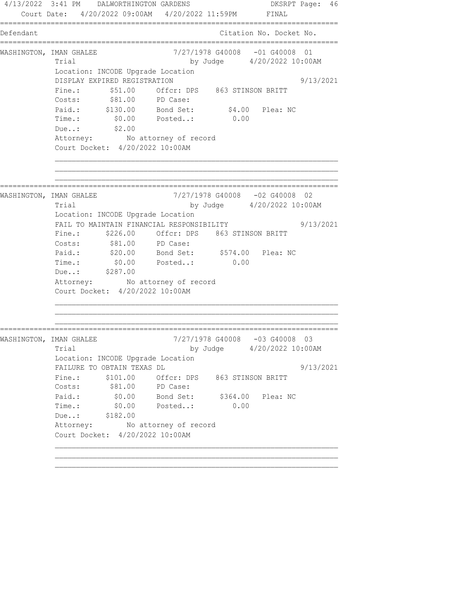4/13/2022 3:41 PM DALWORTHINGTON GARDENS DKSRPT Page: 46 Court Date: 4/20/2022 09:00AM 4/20/2022 11:59PM FINAL ================================================================================ Defendant Citation No. Docket No. ================================================================================ WASHINGTON, IMAN GHALEE  $\frac{7}{27/1978}$  G40008 -01 G40008 01 Trial by Judge  $4/20/2022$  10:00AM Location: INCODE Upgrade Location DISPLAY EXPIRED REGISTRATION 9/13/2021 Fine.:  $$51.00$  Offcr: DPS 863 STINSON BRITT Costs:  $$81.00$  PD Case: Paid.: \$130.00 Bond Set: \$4.00 Plea: NC Time.: \$0.00 Posted..: 0.00 Due..: \$2.00 Attorney: No attorney of record Court Docket: 4/20/2022 10:00AM ================================================================================ WASHINGTON, IMAN GHALEE 7/27/1978 G40008 -02 G40008 02 Trial by Judge 4/20/2022 10:00AM Location: INCODE Upgrade Location FAIL TO MAINTAIN FINANCIAL RESPONSIBILITY 9/13/2021 Fine.: \$226.00 Offcr: DPS 863 STINSON BRITT Costs:  $$81.00$  PD Case: Paid.: \$20.00 Bond Set: \$574.00 Plea: NC Time.:  $$0.00$  Posted..: 0.00 Due..: \$287.00 Attorney: No attorney of record Court Docket: 4/20/2022 10:00AM ================================================================================ WASHINGTON, IMAN GHALEE 7/27/1978 G40008 -03 G40008 03<br>Trial by Judge 4/20/2022 10:008 Trial by Judge 4/20/2022 10:00AM Location: INCODE Upgrade Location FAILURE TO OBTAIN TEXAS DL 9/13/2021 Fine.: \$101.00 Offcr: DPS 863 STINSON BRITT Costs:  $$81.00$  PD Case: Paid.: \$0.00 Bond Set: \$364.00 Plea: NC Time.: \$0.00 Posted..: 0.00 Due..: \$182.00 Attorney: No attorney of record Court Docket: 4/20/2022 10:00AM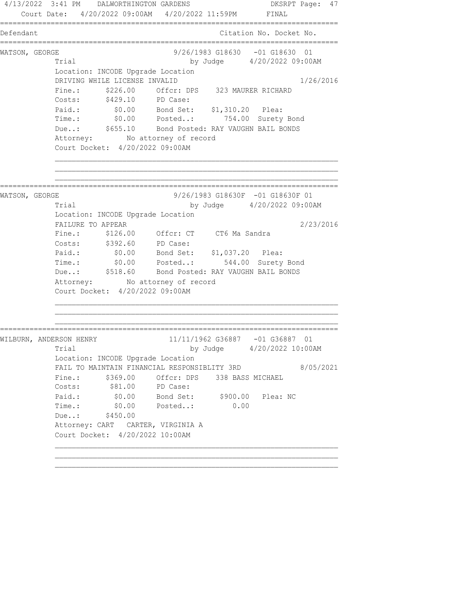4/13/2022 3:41 PM DALWORTHINGTON GARDENS DKSRPT Page: 47 Court Date: 4/20/2022 09:00AM 4/20/2022 11:59PM FINAL ================================================================================ Defendant Citation No. Docket No. ================================================================================ WATSON, GEORGE 618630 CHA 618630 CHA 9/26/1983 G18630 -01 G18630 01 Trial by Judge 4/20/2022 09:00AM Location: INCODE Upgrade Location DRIVING WHILE LICENSE INVALID 1/26/2016 Fine.:  $$226.00$  Offcr: DPS 323 MAURER RICHARD Costs: \$429.10 PD Case: Paid.: \$0.00 Bond Set: \$1,310.20 Plea: Time.: \$0.00 Posted..: 754.00 Surety Bond Due..: \$655.10 Bond Posted: RAY VAUGHN BAIL BONDS Attorney: No attorney of record Court Docket: 4/20/2022 09:00AM ================================================================================ WATSON, GEORGE 2008 CONSTRUCTED 3/26/1983 G18630F -01 G18630F 01 Trial by Judge 4/20/2022 09:00AM Location: INCODE Upgrade Location FAILURE TO APPEAR 2/23/2016 Fine.: \$126.00 Offcr: CT CT6 Ma Sandra Costs: \$392.60 PD Case: Paid.: \$0.00 Bond Set: \$1,037.20 Plea: Time.: \$0.00 Posted..: 544.00 Surety Bond Due..: \$518.60 Bond Posted: RAY VAUGHN BAIL BONDS Attorney: No attorney of record Court Docket: 4/20/2022 09:00AM ================================================================================ WILBURN, ANDERSON HENRY 11/11/1962 G36887 -01 G36887 01 Trial by Judge 4/20/2022 10:00AM Location: INCODE Upgrade Location FAIL TO MAINTAIN FINANCIAL RESPONSIBLITY 3RD 8/05/2021 Fine.: \$369.00 Offcr: DPS 338 BASS MICHAEL<br>Costs: \$81.00 PD Case: Costs:  $$81.00$  PD Case: Paid.: \$0.00 Bond Set: \$900.00 Plea: NC Time.: \$0.00 Posted..: 0.00 Due..: \$450.00 Attorney: CART CARTER, VIRGINIA A Court Docket: 4/20/2022 10:00AM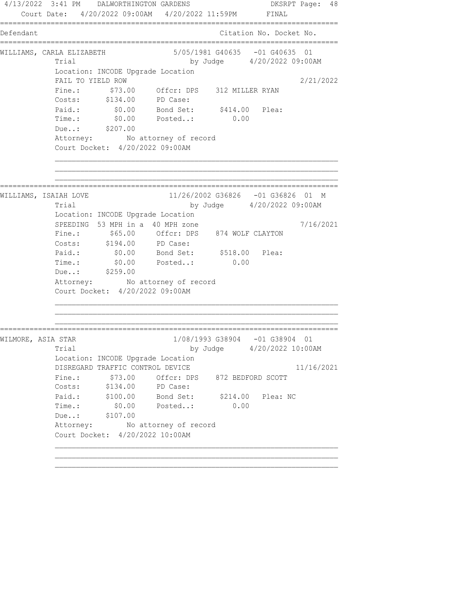4/13/2022 3:41 PM DALWORTHINGTON GARDENS DKSRPT Page: 48 Court Date: 4/20/2022 09:00AM 4/20/2022 11:59PM FINAL ================================================================================ Defendant Citation No. Docket No. ================================================================================ WILLIAMS, CARLA ELIZABETH 5/05/1981 G40635 -01 G40635 01 Trial by Judge  $4/20/2022$  09:00AM Location: INCODE Upgrade Location FAIL TO YIELD ROW 2/21/2022 Fine.: \$73.00 Offcr: DPS 312 MILLER RYAN Costs: \$134.00 PD Case: Paid.: \$0.00 Bond Set: \$414.00 Plea: Time.: \$0.00 Posted..: 0.00 Due..: \$207.00 Attorney: No attorney of record Court Docket: 4/20/2022 09:00AM ================================================================================ WILLIAMS, ISAIAH LOVE 11/26/2002 G36826 -01 G36826 01 M Trial by Judge 4/20/2022 09:00AM Location: INCODE Upgrade Location SPEEDING 53 MPH in a 40 MPH zone  $7/16/2021$  Fine.: \$65.00 Offcr: DPS 874 WOLF CLAYTON Costs: \$194.00 PD Case: Paid.: \$0.00 Bond Set: \$518.00 Plea: Time.:  $$0.00$  Posted..: 0.00 Due..: \$259.00 Attorney: No attorney of record Court Docket: 4/20/2022 09:00AM ================================================================================ WILMORE, ASIA STAR 1/08/1993 G38904 -01 G38904 01 Trial by Judge 4/20/2022 10:00AM Location: INCODE Upgrade Location DISREGARD TRAFFIC CONTROL DEVICE 11/16/2021 Fine.:  $$73.00$  Offcr: DPS 872 BEDFORD SCOTT Costs: \$134.00 PD Case: Paid.: \$100.00 Bond Set: \$214.00 Plea: NC Time.: \$0.00 Posted..: 0.00 Due..: \$107.00 Attorney: No attorney of record Court Docket: 4/20/2022 10:00AM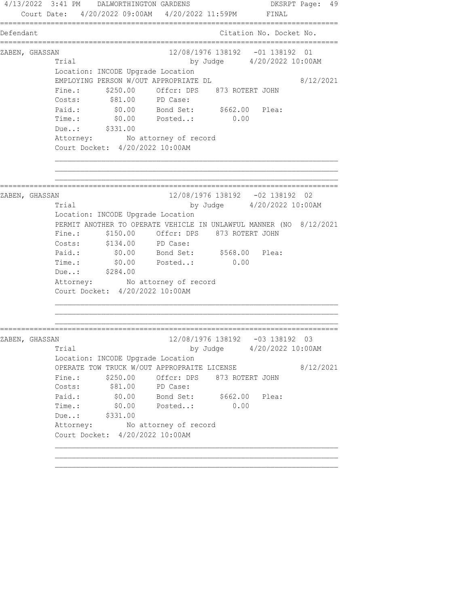4/13/2022 3:41 PM DALWORTHINGTON GARDENS DKSRPT Page: 49 Court Date: 4/20/2022 09:00AM 4/20/2022 11:59PM FINAL ================================================================================ Defendant Citation No. Docket No. ================================================================================ ZABEN, GHASSAN 12/08/1976 138192 -01 138192 01 Trial by Judge 4/20/2022 10:00AM Location: INCODE Upgrade Location EMPLOYING PERSON W/OUT APPROPRIATE DL 8/12/2021 Fine.:  $$250.00$  Offcr: DPS 873 ROTERT JOHN Costs:  $$81.00$  PD Case: Paid.: \$0.00 Bond Set: \$662.00 Plea: Time.: \$0.00 Posted..: 0.00 Due..: \$331.00 Attorney: No attorney of record Court Docket: 4/20/2022 10:00AM ================================================================================ ZABEN, GHASSAN 12/08/1976 138192 -02 138192 02 Trial by Judge 4/20/2022 10:00AM Location: INCODE Upgrade Location PERMIT ANOTHER TO OPERATE VEHICLE IN UNLAWFUL MANNER (NO 8/12/2021 Fine.:  $$150.00$  Offcr: DPS 873 ROTERT JOHN Costs: \$134.00 PD Case:<br>Paid.: \$0.00 Bond Set: Paid.: \$0.00 Bond Set: \$568.00 Plea: Time.:  $$0.00$  Posted..: 0.00 Due..: \$284.00 Attorney: No attorney of record Court Docket: 4/20/2022 10:00AM ================================================================================ ZABEN, GHASSAN 12/08/1976 138192 -03 138192 03 Trial by Judge 4/20/2022 10:00AM Location: INCODE Upgrade Location OPERATE TOW TRUCK W/OUT APPROPRAITE LICENSE 8/12/2021 Fine.:  $$250.00$  Offcr: DPS 873 ROTERT JOHN Costs:  $$81.00$  PD Case: Paid.: \$0.00 Bond Set: \$662.00 Plea: Time.: \$0.00 Posted..: 0.00 Due..: \$331.00 Attorney: No attorney of record Court Docket: 4/20/2022 10:00AM